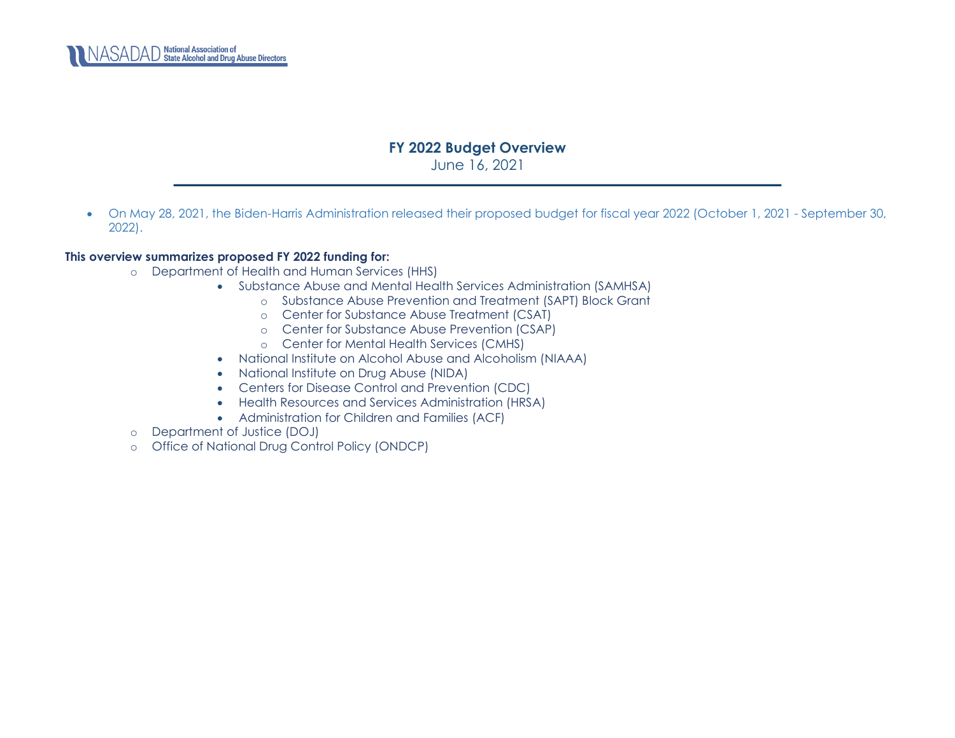

## **FY 2022 Budget Overview**

June 16, 2021

• On May 28, 2021, the Biden-Harris Administration released their proposed budget for fiscal year 2022 (October 1, 2021 - September 30, 2022).

## **This overview summarizes proposed FY 2022 funding for:**

- o Department of Health and Human Services (HHS)
	- Substance Abuse and Mental Health Services Administration (SAMHSA)
		- o [Substance Abuse Prevention and Treatment \(SAPT\) Block Grant](#page-1-0)
		- o [Center for Substance Abuse Treatment \(CSAT\)](#page-3-0)
		- o [Center for Substance Abuse Prevention \(CSAP\)](#page-4-0)
		- o [Center for Mental Health Services \(CMHS\)](#page-12-0)
		- [National Institute on Alcohol Abuse and Alcoholism \(NIAAA\)](#page-18-0)
		- [National Institute on Drug Abuse \(NIDA\)](#page-18-1)
		- [Centers for Disease Control and Prevention \(CDC\)](#page-18-2)
		- [Health Resources and Services Administration \(HRSA\)](#page-21-0)
		- Administration for Children and Families (ACF)
- o [Department of Justice \(DOJ\)](#page-23-0)
- o [Office of National Drug Control Policy \(ONDCP\)](#page-24-0)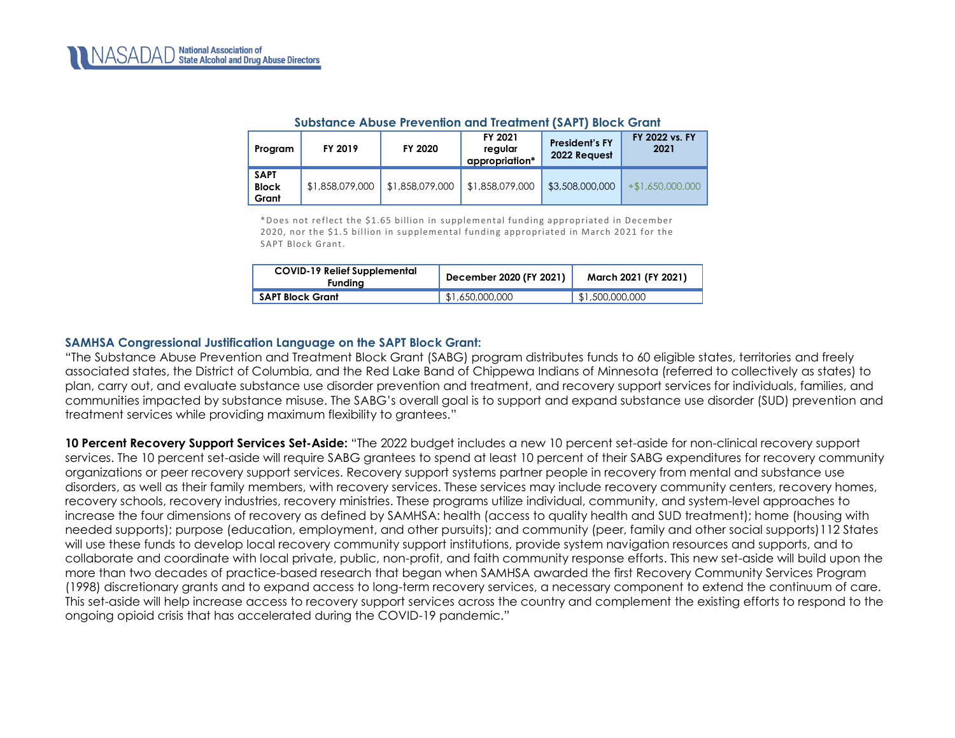<span id="page-1-0"></span>

| Program                              | FY 2019         | FY 2020         |                 | <b>President's FY</b><br>2022 Request | FY 2022 vs. FY<br>2021 |
|--------------------------------------|-----------------|-----------------|-----------------|---------------------------------------|------------------------|
| <b>SAPT</b><br><b>Block</b><br>Grant | \$1,858,079,000 | \$1,858,079,000 | \$1,858,079,000 | \$3,508,000,000                       | $+$ \$1,650,000,000    |

#### **Substance Abuse Prevention and Treatment (SAPT) Block Grant**

\*Does not reflect the \$1.65 billion in supplemental funding appropriated in December 2020, nor the \$1.5 billion in supplemental funding appropriated in March 2021 for the SAPT Block Grant.

| <b>COVID-19 Relief Supplemental</b><br>Fundina | December 2020 (FY 2021) | March 2021 (FY 2021) |  |
|------------------------------------------------|-------------------------|----------------------|--|
| <b>SAPT Block Grant</b>                        | \$1,650,000,000         | \$1,500,000,000      |  |

#### **SAMHSA Congressional Justification Language on the SAPT Block Grant:**

"The Substance Abuse Prevention and Treatment Block Grant (SABG) program distributes funds to 60 eligible states, territories and freely associated states, the District of Columbia, and the Red Lake Band of Chippewa Indians of Minnesota (referred to collectively as states) to plan, carry out, and evaluate substance use disorder prevention and treatment, and recovery support services for individuals, families, and communities impacted by substance misuse. The SABG's overall goal is to support and expand substance use disorder (SUD) prevention and treatment services while providing maximum flexibility to grantees."

**10 Percent Recovery Support Services Set-Aside:** "The 2022 budget includes a new 10 percent set-aside for non-clinical recovery support services. The 10 percent set-aside will require SABG grantees to spend at least 10 percent of their SABG expenditures for recovery community organizations or peer recovery support services. Recovery support systems partner people in recovery from mental and substance use disorders, as well as their family members, with recovery services. These services may include recovery community centers, recovery homes, recovery schools, recovery industries, recovery ministries. These programs utilize individual, community, and system-level approaches to increase the four dimensions of recovery as defined by SAMHSA: health (access to quality health and SUD treatment); home (housing with needed supports); purpose (education, employment, and other pursuits); and community (peer, family and other social supports)112 States will use these funds to develop local recovery community support institutions, provide system navigation resources and supports, and to collaborate and coordinate with local private, public, non-profit, and faith community response efforts. This new set-aside will build upon the more than two decades of practice-based research that began when SAMHSA awarded the first Recovery Community Services Program (1998) discretionary grants and to expand access to long-term recovery services, a necessary component to extend the continuum of care. This set-aside will help increase access to recovery support services across the country and complement the existing efforts to respond to the ongoing opioid crisis that has accelerated during the COVID-19 pandemic."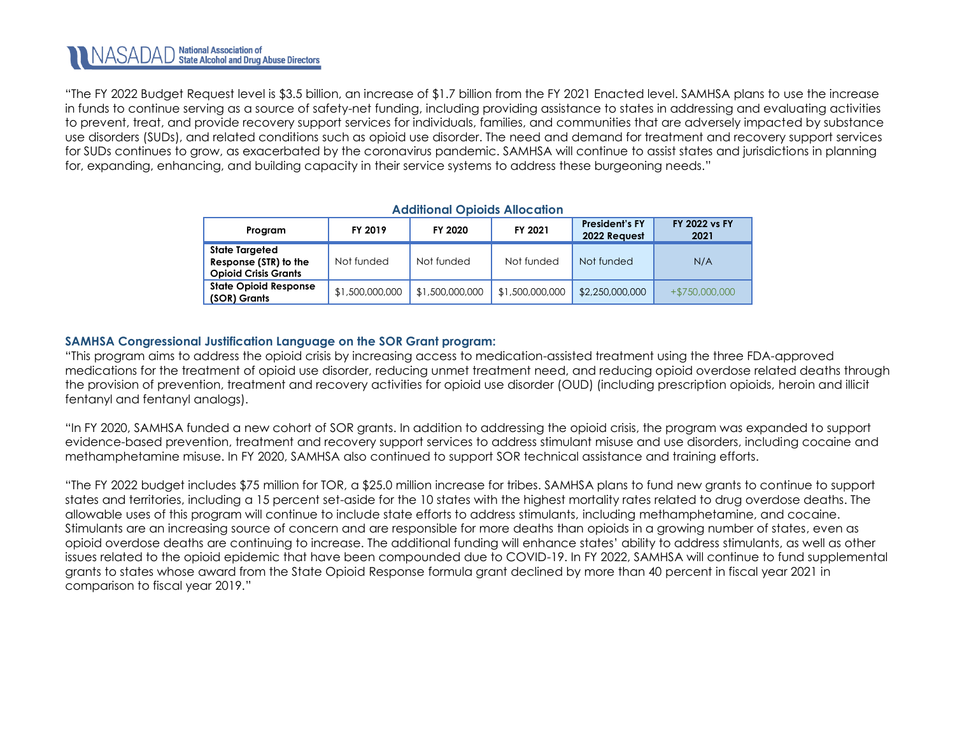"The FY 2022 Budget Request level is \$3.5 billion, an increase of \$1.7 billion from the FY 2021 Enacted level. SAMHSA plans to use the increase in funds to continue serving as a source of safety-net funding, including providing assistance to states in addressing and evaluating activities to prevent, treat, and provide recovery support services for individuals, families, and communities that are adversely impacted by substance use disorders (SUDs), and related conditions such as opioid use disorder. The need and demand for treatment and recovery support services for SUDs continues to grow, as exacerbated by the coronavirus pandemic. SAMHSA will continue to assist states and jurisdictions in planning for, expanding, enhancing, and building capacity in their service systems to address these burgeoning needs."

| Additional Opiolas Allocation                                                 |                 |                 |                 |                                       |                              |  |  |  |
|-------------------------------------------------------------------------------|-----------------|-----------------|-----------------|---------------------------------------|------------------------------|--|--|--|
| Program                                                                       | FY 2019         | FY 2020         | FY 2021         | <b>President's FY</b><br>2022 Request | <b>FY 2022 vs FY</b><br>2021 |  |  |  |
| <b>State Targeted</b><br>Response (STR) to the<br><b>Opioid Crisis Grants</b> | Not funded      | Not funded      | Not funded      | Not funded                            | N/A                          |  |  |  |
| <b>State Opioid Response</b><br>(SOR) Grants                                  | \$1,500,000,000 | \$1,500,000,000 | \$1,500,000,000 | \$2,250,000,000                       | $+ $750,000,000$             |  |  |  |

## **Additional Opioids Allocation**

## **SAMHSA Congressional Justification Language on the SOR Grant program:**

"This program aims to address the opioid crisis by increasing access to medication-assisted treatment using the three FDA-approved medications for the treatment of opioid use disorder, reducing unmet treatment need, and reducing opioid overdose related deaths through the provision of prevention, treatment and recovery activities for opioid use disorder (OUD) (including prescription opioids, heroin and illicit fentanyl and fentanyl analogs).

"In FY 2020, SAMHSA funded a new cohort of SOR grants. In addition to addressing the opioid crisis, the program was expanded to support evidence-based prevention, treatment and recovery support services to address stimulant misuse and use disorders, including cocaine and methamphetamine misuse. In FY 2020, SAMHSA also continued to support SOR technical assistance and training efforts.

"The FY 2022 budget includes \$75 million for TOR, a \$25.0 million increase for tribes. SAMHSA plans to fund new grants to continue to support states and territories, including a 15 percent set-aside for the 10 states with the highest mortality rates related to drug overdose deaths. The allowable uses of this program will continue to include state efforts to address stimulants, including methamphetamine, and cocaine. Stimulants are an increasing source of concern and are responsible for more deaths than opioids in a growing number of states, even as opioid overdose deaths are continuing to increase. The additional funding will enhance states' ability to address stimulants, as well as other issues related to the opioid epidemic that have been compounded due to COVID-19. In FY 2022, SAMHSA will continue to fund supplemental grants to states whose award from the State Opioid Response formula grant declined by more than 40 percent in fiscal year 2021 in comparison to fiscal year 2019."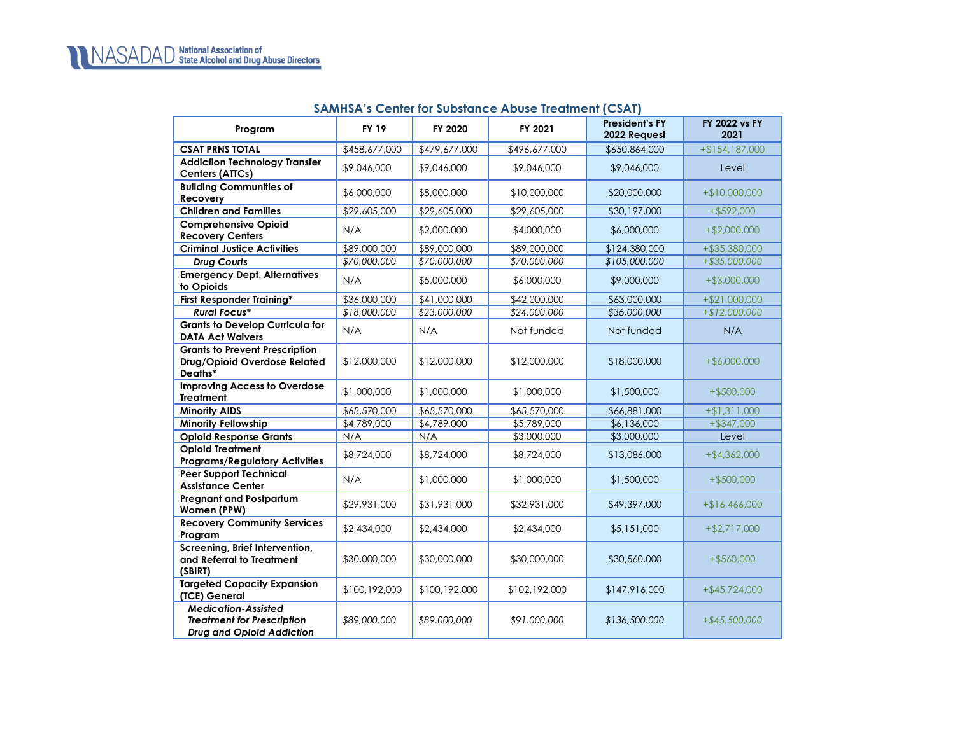## **SAMHSA's Center for Substance Abuse Treatment (CSAT)**

<span id="page-3-0"></span>

| Program                                                                                      | <b>FY 19</b>  | FY 2020       | FY 2021       | <b>President's FY</b><br>2022 Request | <b>FY 2022 vs FY</b><br>2021 |
|----------------------------------------------------------------------------------------------|---------------|---------------|---------------|---------------------------------------|------------------------------|
| <b>CSAT PRNS TOTAL</b>                                                                       | \$458,677,000 | \$479,677,000 | \$496,677,000 | \$650,864,000                         | $+ $154,187,000$             |
| <b>Addiction Technology Transfer</b><br>Centers (ATTCs)                                      | \$9,046,000   | \$9,046,000   | \$9,046,000   | \$9,046,000                           | Level                        |
| <b>Building Communities of</b><br>Recovery                                                   | \$6,000,000   | \$8,000,000   | \$10,000,000  | \$20,000,000                          | $+$10,000,000$               |
| <b>Children and Families</b>                                                                 | \$29,605,000  | \$29,605,000  | \$29,605,000  | \$30,197,000                          | $+$ \$592,000                |
| <b>Comprehensive Opioid</b><br><b>Recovery Centers</b>                                       | N/A           | \$2,000,000   | \$4,000,000   | \$6,000,000                           | $+ $2,000,000$               |
| <b>Criminal Justice Activities</b>                                                           | \$89,000,000  | \$89,000,000  | \$89,000,000  | \$124,380,000                         | $+ $35,380,000$              |
| <b>Drug Courts</b>                                                                           | \$70,000,000  | \$70,000,000  | \$70,000,000  | \$105,000,000                         | +\$35,000,000                |
| <b>Emergency Dept. Alternatives</b><br>to Opioids                                            | N/A           | \$5,000,000   | \$6,000,000   | \$9,000,000                           | $+ $3,000,000$               |
| <b>First Responder Training*</b>                                                             | \$36,000,000  | \$41,000,000  | \$42,000,000  | \$63,000,000                          | $+ $21,000,000$              |
| <b>Rural Focus*</b>                                                                          | \$18,000,000  | \$23,000,000  | \$24,000,000  | \$36,000,000                          | $+ $12,000,000$              |
| <b>Grants to Develop Curricula for</b><br><b>DATA Act Waivers</b>                            | N/A           | N/A           | Not funded    | Not funded                            | N/A                          |
| <b>Grants to Prevent Prescription</b><br>Drug/Opioid Overdose Related<br>Deaths*             | \$12,000,000  | \$12,000,000  | \$12,000,000  | \$18,000,000                          | $+$ \$6,000,000              |
| <b>Improving Access to Overdose</b><br><b>Treatment</b>                                      | \$1,000,000   | \$1,000,000   | \$1,000,000   | \$1,500,000                           | $+$ \$500,000                |
| <b>Minority AIDS</b>                                                                         | \$65,570,000  | \$65,570,000  | \$65,570,000  | \$66,881,000                          | $+ $1,311,000$               |
| <b>Minority Fellowship</b>                                                                   | \$4,789,000   | \$4,789,000   | \$5,789,000   | \$6,136,000                           | $+ $347,000$                 |
| <b>Opioid Response Grants</b>                                                                | N/A           | N/A           | \$3,000,000   | \$3,000,000                           | Level                        |
| <b>Opioid Treatment</b><br><b>Programs/Regulatory Activities</b>                             | \$8,724,000   | \$8,724,000   | \$8,724,000   | \$13,086,000                          | $+ $4,362,000$               |
| <b>Peer Support Technical</b><br><b>Assistance Center</b>                                    | N/A           | \$1,000,000   | \$1,000,000   | \$1,500,000                           | $+$ \$500,000                |
| <b>Pregnant and Postpartum</b><br>Women (PPW)                                                | \$29,931,000  | \$31,931,000  | \$32,931,000  | \$49,397,000                          | $+ $16,466,000$              |
| <b>Recovery Community Services</b><br>Program                                                | \$2,434,000   | \$2,434,000   | \$2,434,000   | \$5,151,000                           | $+ $2,717,000$               |
| Screening, Brief Intervention,<br>and Referral to Treatment<br>(SBIRT)                       | \$30,000,000  | \$30,000,000  | \$30,000,000  | \$30,560,000                          | $+ $560,000$                 |
| <b>Targeted Capacity Expansion</b><br>(TCE) General                                          | \$100,192,000 | \$100,192,000 | \$102,192,000 | \$147,916,000                         | $+$ \$45,724,000             |
| <b>Medication-Assisted</b><br><b>Treatment for Prescription</b><br>Drug and Opioid Addiction | \$89,000,000  | \$89,000,000  | \$91,000,000  | \$136,500,000                         | $+ $45,500,000$              |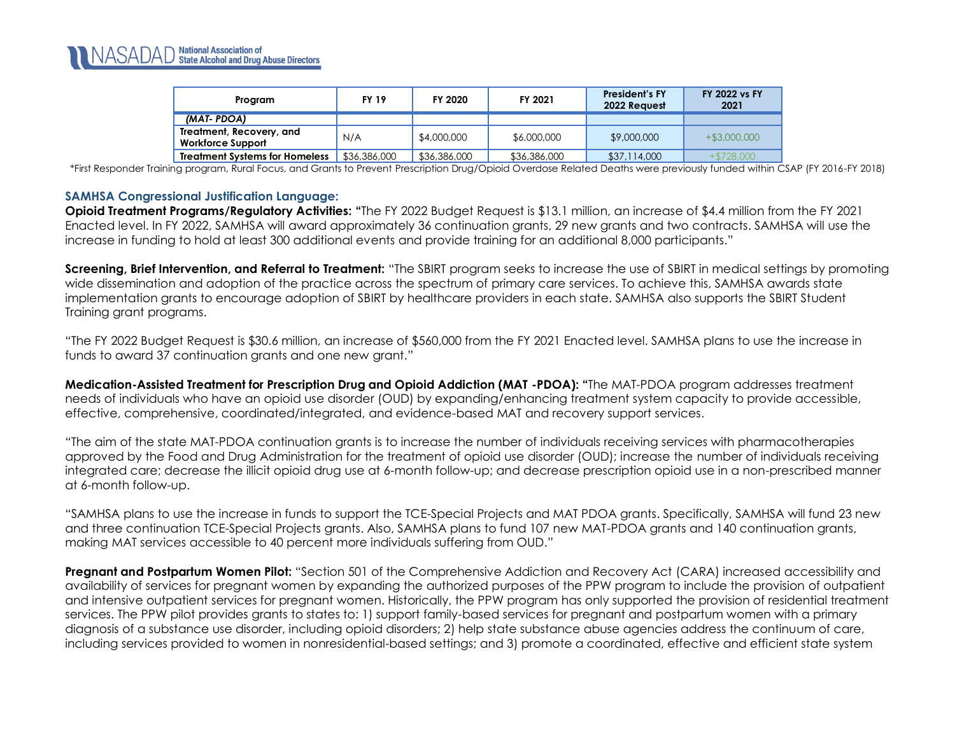| Program                                              | <b>FY 19</b> | FY 2020      | FY 2021      | <b>President's FY</b><br>2022 Reavest | <b>FY 2022 vs FY</b><br>2021 |
|------------------------------------------------------|--------------|--------------|--------------|---------------------------------------|------------------------------|
| (MAT-PDOA)                                           |              |              |              |                                       |                              |
| Treatment, Recovery, and<br><b>Workforce Support</b> | N/A          | \$4,000,000  | \$6,000,000  | \$9,000,000                           | $+$ \$3,000,000              |
| <b>Treatment Systems for Homeless</b>                | \$36,386,000 | \$36,386,000 | \$36,386,000 | \$37,114,000                          | $+ $728,000$                 |

\*First Responder Training program, Rural Focus, and Grants to Prevent Prescription Drug/Opioid Overdose Related Deaths were previously funded within CSAP (FY 2016-FY 2018)

#### **SAMHSA Congressional Justification Language:**

**Opioid Treatment Programs/Regulatory Activities: "The FY 2022 Budget Request is \$13.1 million, an increase of \$4.4 million from the FY 2021** Enacted level. In FY 2022, SAMHSA will award approximately 36 continuation grants, 29 new grants and two contracts. SAMHSA will use the increase in funding to hold at least 300 additional events and provide training for an additional 8,000 participants."

**Screening, Brief Intervention, and Referral to Treatment:** "The SBIRT program seeks to increase the use of SBIRT in medical settings by promoting wide dissemination and adoption of the practice across the spectrum of primary care services. To achieve this, SAMHSA awards state implementation grants to encourage adoption of SBIRT by healthcare providers in each state. SAMHSA also supports the SBIRT Student Training grant programs.

"The FY 2022 Budget Request is \$30.6 million, an increase of \$560,000 from the FY 2021 Enacted level. SAMHSA plans to use the increase in funds to award 37 continuation grants and one new grant."

<span id="page-4-0"></span>**Medication-Assisted Treatment for Prescription Drug and Opioid Addiction (MAT -PDOA): "**The MAT-PDOA program addresses treatment needs of individuals who have an opioid use disorder (OUD) by expanding/enhancing treatment system capacity to provide accessible, effective, comprehensive, coordinated/integrated, and evidence-based MAT and recovery support services.

"The aim of the state MAT-PDOA continuation grants is to increase the number of individuals receiving services with pharmacotherapies approved by the Food and Drug Administration for the treatment of opioid use disorder (OUD); increase the number of individuals receiving integrated care; decrease the illicit opioid drug use at 6-month follow-up; and decrease prescription opioid use in a non-prescribed manner at 6-month follow-up.

"SAMHSA plans to use the increase in funds to support the TCE-Special Projects and MAT PDOA grants. Specifically, SAMHSA will fund 23 new and three continuation TCE-Special Projects grants. Also, SAMHSA plans to fund 107 new MAT-PDOA grants and 140 continuation grants, making MAT services accessible to 40 percent more individuals suffering from OUD."

**Pregnant and Postpartum Women Pilot:** "Section 501 of the Comprehensive Addiction and Recovery Act (CARA) increased accessibility and availability of services for pregnant women by expanding the authorized purposes of the PPW program to include the provision of outpatient and intensive outpatient services for pregnant women. Historically, the PPW program has only supported the provision of residential treatment services. The PPW pilot provides grants to states to: 1) support family-based services for pregnant and postpartum women with a primary diagnosis of a substance use disorder, including opioid disorders; 2) help state substance abuse agencies address the continuum of care, including services provided to women in nonresidential-based settings; and 3) promote a coordinated, effective and efficient state system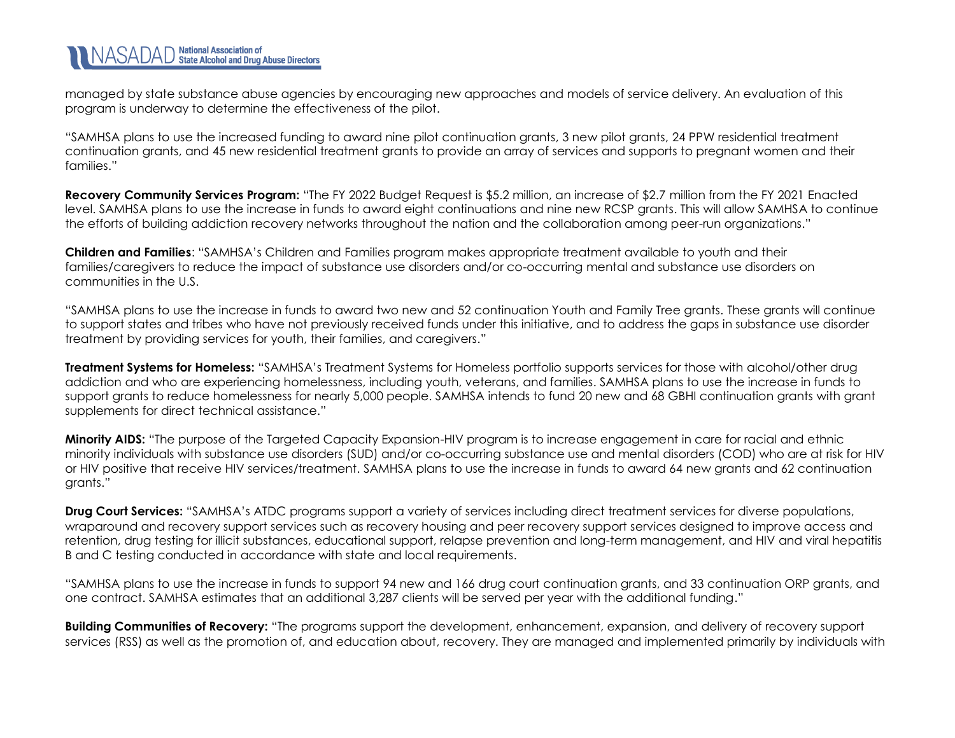managed by state substance abuse agencies by encouraging new approaches and models of service delivery. An evaluation of this program is underway to determine the effectiveness of the pilot.

"SAMHSA plans to use the increased funding to award nine pilot continuation grants, 3 new pilot grants, 24 PPW residential treatment continuation grants, and 45 new residential treatment grants to provide an array of services and supports to pregnant women and their families."

**Recovery Community Services Program:** "The FY 2022 Budget Request is \$5.2 million, an increase of \$2.7 million from the FY 2021 Enacted level. SAMHSA plans to use the increase in funds to award eight continuations and nine new RCSP grants. This will allow SAMHSA to continue the efforts of building addiction recovery networks throughout the nation and the collaboration among peer-run organizations."

**Children and Families**: "SAMHSA's Children and Families program makes appropriate treatment available to youth and their families/caregivers to reduce the impact of substance use disorders and/or co-occurring mental and substance use disorders on communities in the U.S.

"SAMHSA plans to use the increase in funds to award two new and 52 continuation Youth and Family Tree grants. These grants will continue to support states and tribes who have not previously received funds under this initiative, and to address the gaps in substance use disorder treatment by providing services for youth, their families, and caregivers."

**Treatment Systems for Homeless:** "SAMHSA's Treatment Systems for Homeless portfolio supports services for those with alcohol/other drug addiction and who are experiencing homelessness, including youth, veterans, and families. SAMHSA plans to use the increase in funds to support grants to reduce homelessness for nearly 5,000 people. SAMHSA intends to fund 20 new and 68 GBHI continuation grants with grant supplements for direct technical assistance."

**Minority AIDS:** "The purpose of the Targeted Capacity Expansion-HIV program is to increase engagement in care for racial and ethnic minority individuals with substance use disorders (SUD) and/or co-occurring substance use and mental disorders (COD) who are at risk for HIV or HIV positive that receive HIV services/treatment. SAMHSA plans to use the increase in funds to award 64 new grants and 62 continuation grants."

**Drug Court Services:** "SAMHSA's ATDC programs support a variety of services including direct treatment services for diverse populations, wraparound and recovery support services such as recovery housing and peer recovery support services designed to improve access and retention, drug testing for illicit substances, educational support, relapse prevention and long-term management, and HIV and viral hepatitis B and C testing conducted in accordance with state and local requirements.

"SAMHSA plans to use the increase in funds to support 94 new and 166 drug court continuation grants, and 33 continuation ORP grants, and one contract. SAMHSA estimates that an additional 3,287 clients will be served per year with the additional funding."

**Building Communities of Recovery:** "The programs support the development, enhancement, expansion, and delivery of recovery support services (RSS) as well as the promotion of, and education about, recovery. They are managed and implemented primarily by individuals with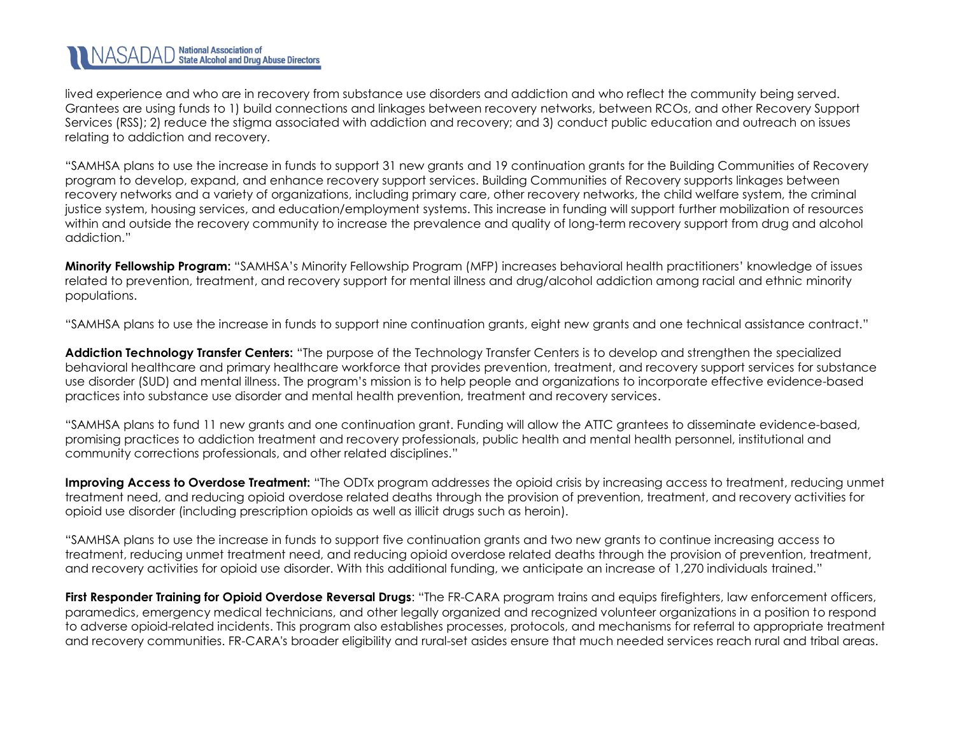lived experience and who are in recovery from substance use disorders and addiction and who reflect the community being served. Grantees are using funds to 1) build connections and linkages between recovery networks, between RCOs, and other Recovery Support Services (RSS); 2) reduce the stigma associated with addiction and recovery; and 3) conduct public education and outreach on issues relating to addiction and recovery.

"SAMHSA plans to use the increase in funds to support 31 new grants and 19 continuation grants for the Building Communities of Recovery program to develop, expand, and enhance recovery support services. Building Communities of Recovery supports linkages between recovery networks and a variety of organizations, including primary care, other recovery networks, the child welfare system, the criminal justice system, housing services, and education/employment systems. This increase in funding will support further mobilization of resources within and outside the recovery community to increase the prevalence and quality of long-term recovery support from drug and alcohol addiction."

**Minority Fellowship Program:** "SAMHSA's Minority Fellowship Program (MFP) increases behavioral health practitioners' knowledge of issues related to prevention, treatment, and recovery support for mental illness and drug/alcohol addiction among racial and ethnic minority populations.

"SAMHSA plans to use the increase in funds to support nine continuation grants, eight new grants and one technical assistance contract."

**Addiction Technology Transfer Centers:** "The purpose of the Technology Transfer Centers is to develop and strengthen the specialized behavioral healthcare and primary healthcare workforce that provides prevention, treatment, and recovery support services for substance use disorder (SUD) and mental illness. The program's mission is to help people and organizations to incorporate effective evidence-based practices into substance use disorder and mental health prevention, treatment and recovery services.

"SAMHSA plans to fund 11 new grants and one continuation grant. Funding will allow the ATTC grantees to disseminate evidence-based, promising practices to addiction treatment and recovery professionals, public health and mental health personnel, institutional and community corrections professionals, and other related disciplines."

**Improving Access to Overdose Treatment:** "The ODTx program addresses the opioid crisis by increasing access to treatment, reducing unmet treatment need, and reducing opioid overdose related deaths through the provision of prevention, treatment, and recovery activities for opioid use disorder (including prescription opioids as well as illicit drugs such as heroin).

"SAMHSA plans to use the increase in funds to support five continuation grants and two new grants to continue increasing access to treatment, reducing unmet treatment need, and reducing opioid overdose related deaths through the provision of prevention, treatment, and recovery activities for opioid use disorder. With this additional funding, we anticipate an increase of 1,270 individuals trained."

**First Responder Training for Opioid Overdose Reversal Drugs**: "The FR-CARA program trains and equips firefighters, law enforcement officers, paramedics, emergency medical technicians, and other legally organized and recognized volunteer organizations in a position to respond to adverse opioid-related incidents. This program also establishes processes, protocols, and mechanisms for referral to appropriate treatment and recovery communities. FR-CARA's broader eligibility and rural-set asides ensure that much needed services reach rural and tribal areas.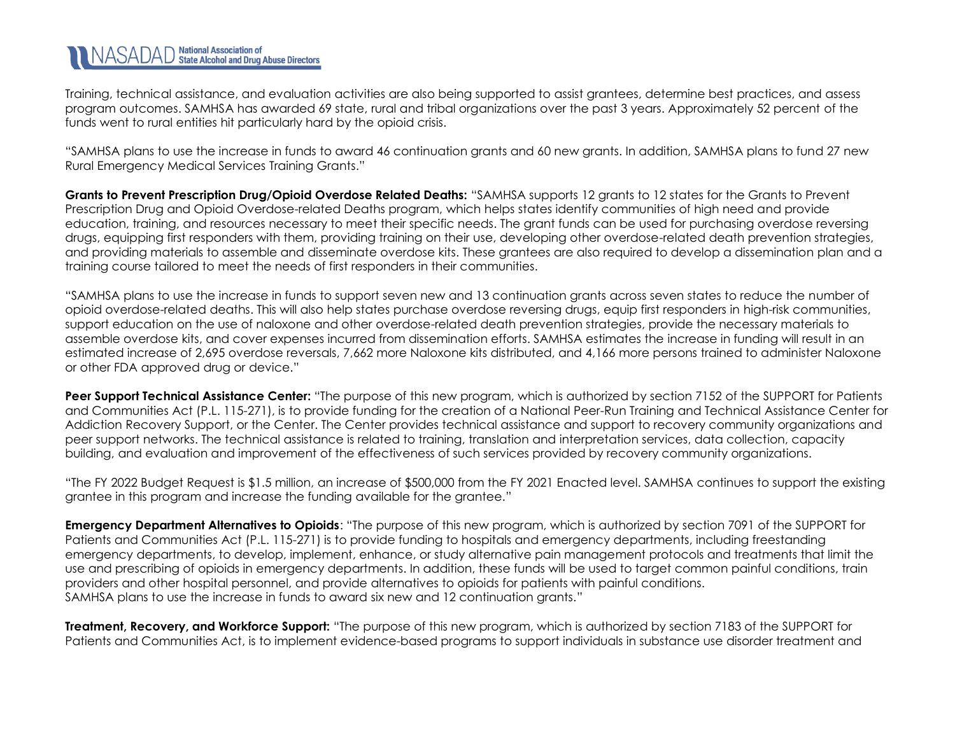# NASADAD National Association of<br>NASADAD State Alcohol and Drug Abuse Directors

Training, technical assistance, and evaluation activities are also being supported to assist grantees, determine best practices, and assess program outcomes. SAMHSA has awarded 69 state, rural and tribal organizations over the past 3 years. Approximately 52 percent of the funds went to rural entities hit particularly hard by the opioid crisis.

"SAMHSA plans to use the increase in funds to award 46 continuation grants and 60 new grants. In addition, SAMHSA plans to fund 27 new Rural Emergency Medical Services Training Grants."

**Grants to Prevent Prescription Drug/Opioid Overdose Related Deaths:** "SAMHSA supports 12 grants to 12 states for the Grants to Prevent Prescription Drug and Opioid Overdose-related Deaths program, which helps states identify communities of high need and provide education, training, and resources necessary to meet their specific needs. The grant funds can be used for purchasing overdose reversing drugs, equipping first responders with them, providing training on their use, developing other overdose-related death prevention strategies, and providing materials to assemble and disseminate overdose kits. These grantees are also required to develop a dissemination plan and a training course tailored to meet the needs of first responders in their communities.

"SAMHSA plans to use the increase in funds to support seven new and 13 continuation grants across seven states to reduce the number of opioid overdose-related deaths. This will also help states purchase overdose reversing drugs, equip first responders in high-risk communities, support education on the use of naloxone and other overdose-related death prevention strategies, provide the necessary materials to assemble overdose kits, and cover expenses incurred from dissemination efforts. SAMHSA estimates the increase in funding will result in an estimated increase of 2,695 overdose reversals, 7,662 more Naloxone kits distributed, and 4,166 more persons trained to administer Naloxone or other FDA approved drug or device."

**Peer Support Technical Assistance Center:** "The purpose of this new program, which is authorized by section 7152 of the SUPPORT for Patients and Communities Act (P.L. 115-271), is to provide funding for the creation of a National Peer-Run Training and Technical Assistance Center for Addiction Recovery Support, or the Center. The Center provides technical assistance and support to recovery community organizations and peer support networks. The technical assistance is related to training, translation and interpretation services, data collection, capacity building, and evaluation and improvement of the effectiveness of such services provided by recovery community organizations.

"The FY 2022 Budget Request is \$1.5 million, an increase of \$500,000 from the FY 2021 Enacted level. SAMHSA continues to support the existing grantee in this program and increase the funding available for the grantee."

**Emergency Department Alternatives to Opioids**: "The purpose of this new program, which is authorized by section 7091 of the SUPPORT for Patients and Communities Act (P.L. 115-271) is to provide funding to hospitals and emergency departments, including freestanding emergency departments, to develop, implement, enhance, or study alternative pain management protocols and treatments that limit the use and prescribing of opioids in emergency departments. In addition, these funds will be used to target common painful conditions, train providers and other hospital personnel, and provide alternatives to opioids for patients with painful conditions. SAMHSA plans to use the increase in funds to award six new and 12 continuation grants."

**Treatment, Recovery, and Workforce Support:** "The purpose of this new program, which is authorized by section 7183 of the SUPPORT for Patients and Communities Act, is to implement evidence-based programs to support individuals in substance use disorder treatment and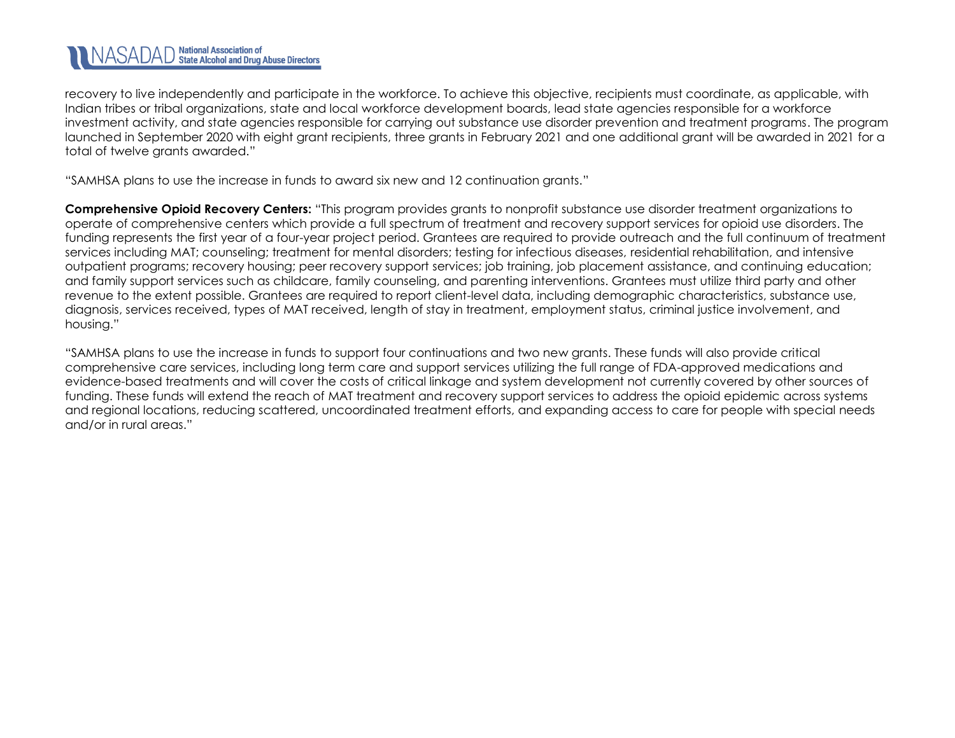#### **National Association of<br>State Alcohol and Drug Abuse Directors** INASADAD

recovery to live independently and participate in the workforce. To achieve this objective, recipients must coordinate, as applicable, with Indian tribes or tribal organizations, state and local workforce development boards, lead state agencies responsible for a workforce investment activity, and state agencies responsible for carrying out substance use disorder prevention and treatment programs. The program launched in September 2020 with eight grant recipients, three grants in February 2021 and one additional grant will be awarded in 2021 for a total of twelve grants awarded."

"SAMHSA plans to use the increase in funds to award six new and 12 continuation grants."

**Comprehensive Opioid Recovery Centers:** "This program provides grants to nonprofit substance use disorder treatment organizations to operate of comprehensive centers which provide a full spectrum of treatment and recovery support services for opioid use disorders. The funding represents the first year of a four-year project period. Grantees are required to provide outreach and the full continuum of treatment services including MAT; counseling; treatment for mental disorders; testing for infectious diseases, residential rehabilitation, and intensive outpatient programs; recovery housing; peer recovery support services; job training, job placement assistance, and continuing education; and family support services such as childcare, family counseling, and parenting interventions. Grantees must utilize third party and other revenue to the extent possible. Grantees are required to report client-level data, including demographic characteristics, substance use, diagnosis, services received, types of MAT received, length of stay in treatment, employment status, criminal justice involvement, and housing."

"SAMHSA plans to use the increase in funds to support four continuations and two new grants. These funds will also provide critical comprehensive care services, including long term care and support services utilizing the full range of FDA-approved medications and evidence-based treatments and will cover the costs of critical linkage and system development not currently covered by other sources of funding. These funds will extend the reach of MAT treatment and recovery support services to address the opioid epidemic across systems and regional locations, reducing scattered, uncoordinated treatment efforts, and expanding access to care for people with special needs and/or in rural areas."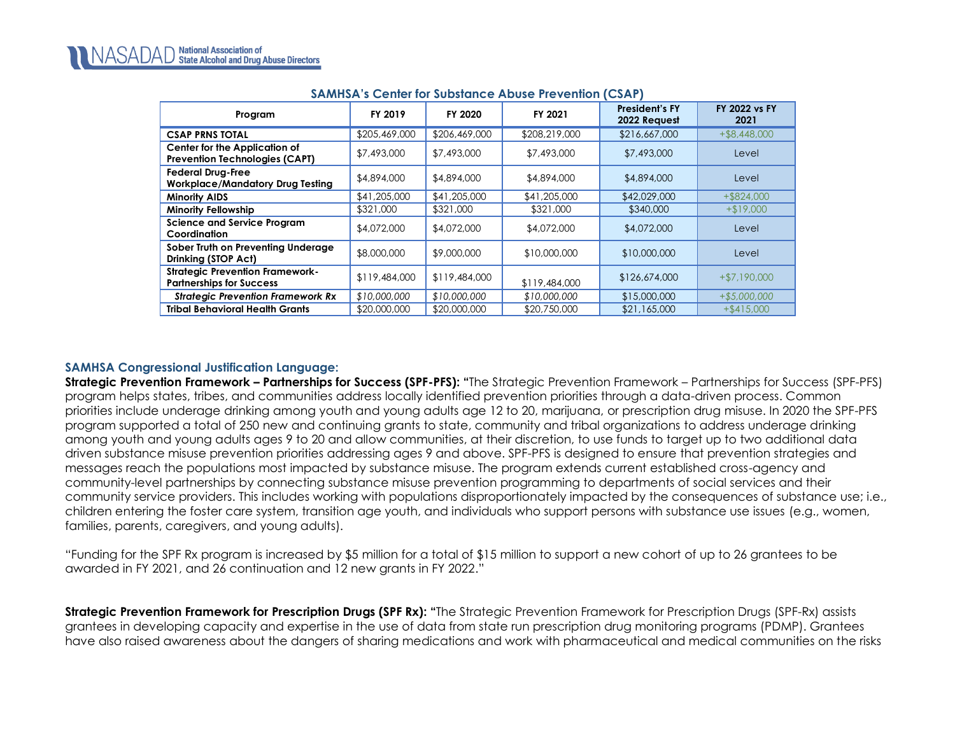| Program                                                                   | FY 2019       | FY 2020       | FY 2021       | <b>President's FY</b><br>2022 Request | <b>FY 2022 vs FY</b><br>2021 |  |  |
|---------------------------------------------------------------------------|---------------|---------------|---------------|---------------------------------------|------------------------------|--|--|
| <b>CSAP PRNS TOTAL</b>                                                    | \$205,469,000 | \$206,469,000 | \$208,219,000 | \$216,667,000                         | $+$ \$8,448,000              |  |  |
| Center for the Application of<br><b>Prevention Technologies (CAPT)</b>    | \$7,493,000   | \$7,493,000   | \$7,493,000   | \$7,493,000                           | Level                        |  |  |
| <b>Federal Drug-Free</b><br><b>Workplace/Mandatory Drug Testing</b>       | \$4,894,000   | \$4,894,000   | \$4,894,000   | \$4,894,000                           | Level                        |  |  |
| <b>Minority AIDS</b>                                                      | \$41,205,000  | \$41,205,000  | \$41,205,000  | \$42,029,000                          | $+$ \$824,000                |  |  |
| <b>Minority Fellowship</b>                                                | \$321,000     | \$321,000     | \$321,000     | \$340,000                             | $+ $19,000$                  |  |  |
| <b>Science and Service Program</b><br>Coordination                        | \$4,072,000   | \$4,072,000   | \$4,072,000   | \$4,072,000                           | Level                        |  |  |
| Sober Truth on Preventing Underage<br>Drinking (STOP Act)                 | \$8,000,000   | \$9,000,000   | \$10,000,000  | \$10,000,000                          | Level                        |  |  |
| <b>Strategic Prevention Framework-</b><br><b>Partnerships for Success</b> | \$119,484,000 | \$119,484,000 | \$119,484,000 | \$126,674,000                         | $+ $7,190,000$               |  |  |
| <b>Strategic Prevention Framework Rx</b>                                  | \$10,000,000  | \$10,000,000  | \$10,000,000  | \$15,000,000                          | $+ $5,000,000$               |  |  |
| <b>Tribal Behavioral Health Grants</b>                                    | \$20,000,000  | \$20,000,000  | \$20,750,000  | \$21,165,000                          | $+$ \$415,000                |  |  |

## **SAMHSA's Center for Substance Abuse Prevention (CSAP)**

#### **SAMHSA Congressional Justification Language:**

**Strategic Prevention Framework – Partnerships for Success (SPF-PFS): "**The Strategic Prevention Framework – Partnerships for Success (SPF-PFS) program helps states, tribes, and communities address locally identified prevention priorities through a data-driven process. Common priorities include underage drinking among youth and young adults age 12 to 20, marijuana, or prescription drug misuse. In 2020 the SPF-PFS program supported a total of 250 new and continuing grants to state, community and tribal organizations to address underage drinking among youth and young adults ages 9 to 20 and allow communities, at their discretion, to use funds to target up to two additional data driven substance misuse prevention priorities addressing ages 9 and above. SPF-PFS is designed to ensure that prevention strategies and messages reach the populations most impacted by substance misuse. The program extends current established cross-agency and community-level partnerships by connecting substance misuse prevention programming to departments of social services and their community service providers. This includes working with populations disproportionately impacted by the consequences of substance use; i.e., children entering the foster care system, transition age youth, and individuals who support persons with substance use issues (e.g., women, families, parents, caregivers, and young adults).

"Funding for the SPF Rx program is increased by \$5 million for a total of \$15 million to support a new cohort of up to 26 grantees to be awarded in FY 2021, and 26 continuation and 12 new grants in FY 2022."

**Strategic Prevention Framework for Prescription Drugs (SPF Rx): "**The Strategic Prevention Framework for Prescription Drugs (SPF-Rx) assists grantees in developing capacity and expertise in the use of data from state run prescription drug monitoring programs (PDMP). Grantees have also raised awareness about the dangers of sharing medications and work with pharmaceutical and medical communities on the risks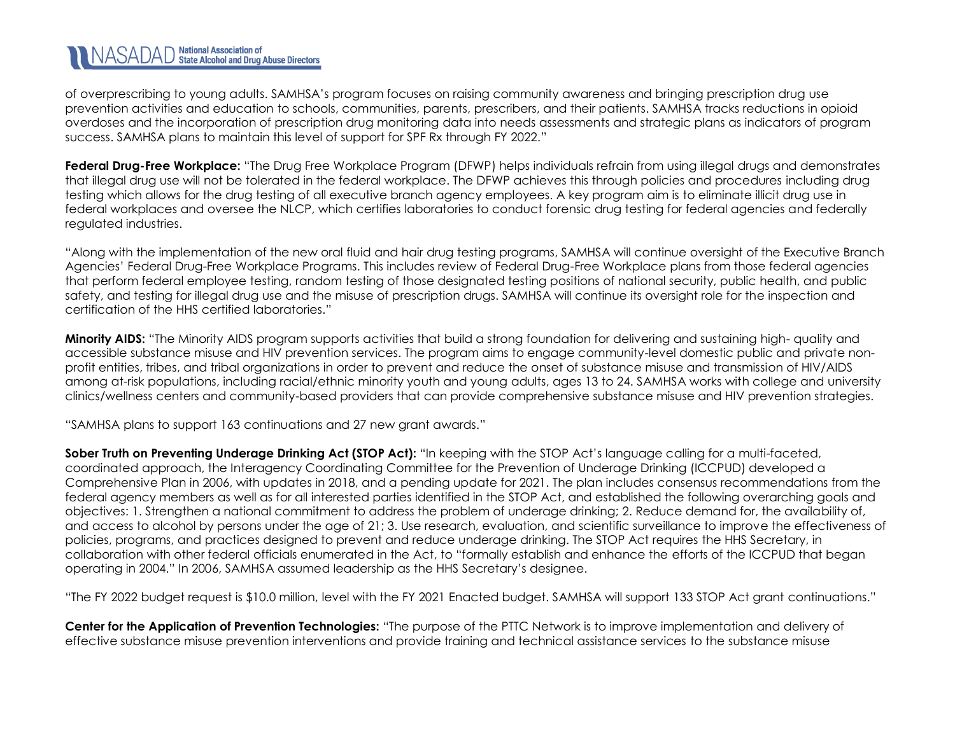# NASADAD National Association of<br>NASADAD State Alcohol and Drug Abuse Directors

of overprescribing to young adults. SAMHSA's program focuses on raising community awareness and bringing prescription drug use prevention activities and education to schools, communities, parents, prescribers, and their patients. SAMHSA tracks reductions in opioid overdoses and the incorporation of prescription drug monitoring data into needs assessments and strategic plans as indicators of program success. SAMHSA plans to maintain this level of support for SPF Rx through FY 2022."

**Federal Drug-Free Workplace:** "The Drug Free Workplace Program (DFWP) helps individuals refrain from using illegal drugs and demonstrates that illegal drug use will not be tolerated in the federal workplace. The DFWP achieves this through policies and procedures including drug testing which allows for the drug testing of all executive branch agency employees. A key program aim is to eliminate illicit drug use in federal workplaces and oversee the NLCP, which certifies laboratories to conduct forensic drug testing for federal agencies and federally regulated industries.

"Along with the implementation of the new oral fluid and hair drug testing programs, SAMHSA will continue oversight of the Executive Branch Agencies' Federal Drug-Free Workplace Programs. This includes review of Federal Drug-Free Workplace plans from those federal agencies that perform federal employee testing, random testing of those designated testing positions of national security, public health, and public safety, and testing for illegal drug use and the misuse of prescription drugs. SAMHSA will continue its oversight role for the inspection and certification of the HHS certified laboratories."

**Minority AIDS:** "The Minority AIDS program supports activities that build a strong foundation for delivering and sustaining high- quality and accessible substance misuse and HIV prevention services. The program aims to engage community-level domestic public and private nonprofit entities, tribes, and tribal organizations in order to prevent and reduce the onset of substance misuse and transmission of HIV/AIDS among at-risk populations, including racial/ethnic minority youth and young adults, ages 13 to 24. SAMHSA works with college and university clinics/wellness centers and community-based providers that can provide comprehensive substance misuse and HIV prevention strategies.

"SAMHSA plans to support 163 continuations and 27 new grant awards."

**Sober Truth on Preventing Underage Drinking Act (STOP Act):** "In keeping with the STOP Act's language calling for a multi-faceted, coordinated approach, the Interagency Coordinating Committee for the Prevention of Underage Drinking (ICCPUD) developed a Comprehensive Plan in 2006, with updates in 2018, and a pending update for 2021. The plan includes consensus recommendations from the federal agency members as well as for all interested parties identified in the STOP Act, and established the following overarching goals and objectives: 1. Strengthen a national commitment to address the problem of underage drinking; 2. Reduce demand for, the availability of, and access to alcohol by persons under the age of 21; 3. Use research, evaluation, and scientific surveillance to improve the effectiveness of policies, programs, and practices designed to prevent and reduce underage drinking. The STOP Act requires the HHS Secretary, in collaboration with other federal officials enumerated in the Act, to "formally establish and enhance the efforts of the ICCPUD that began operating in 2004." In 2006, SAMHSA assumed leadership as the HHS Secretary's designee.

"The FY 2022 budget request is \$10.0 million, level with the FY 2021 Enacted budget. SAMHSA will support 133 STOP Act grant continuations."

**Center for the Application of Prevention Technologies:** "The purpose of the PTTC Network is to improve implementation and delivery of effective substance misuse prevention interventions and provide training and technical assistance services to the substance misuse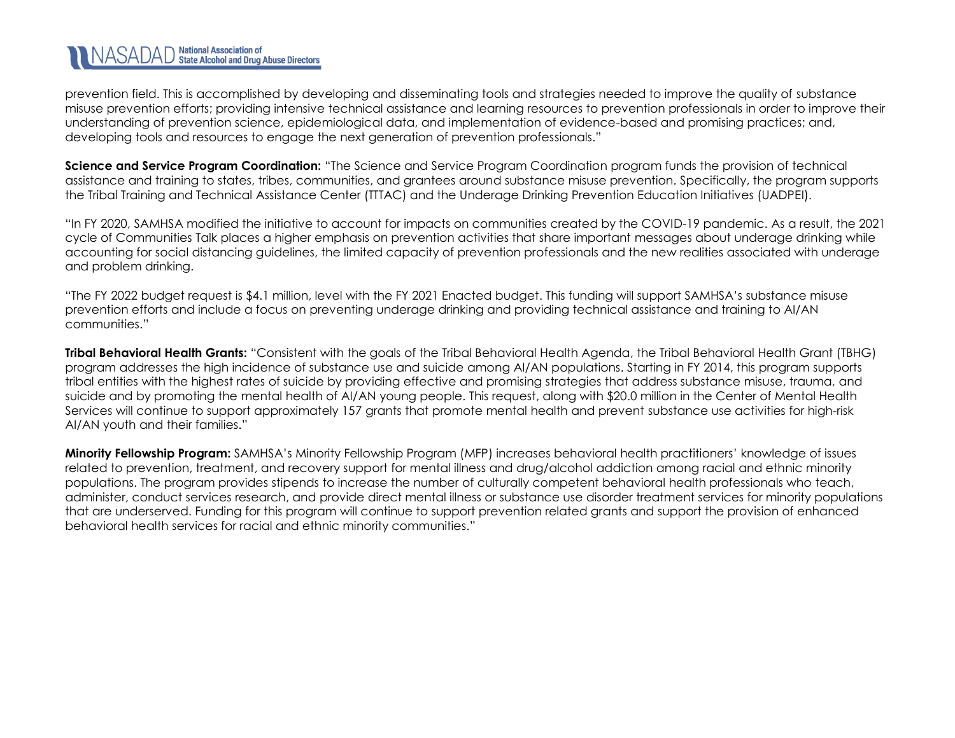# NASADAD National Association of<br>NASADAD State Alcohol and Drug Abuse Directors

prevention field. This is accomplished by developing and disseminating tools and strategies needed to improve the quality of substance misuse prevention efforts; providing intensive technical assistance and learning resources to prevention professionals in order to improve their understanding of prevention science, epidemiological data, and implementation of evidence-based and promising practices; and, developing tools and resources to engage the next generation of prevention professionals."

**Science and Service Program Coordination:** "The Science and Service Program Coordination program funds the provision of technical assistance and training to states, tribes, communities, and grantees around substance misuse prevention. Specifically, the program supports the Tribal Training and Technical Assistance Center (TTTAC) and the Underage Drinking Prevention Education Initiatives (UADPEI).

"In FY 2020, SAMHSA modified the initiative to account for impacts on communities created by the COVID-19 pandemic. As a result, the 2021 cycle of Communities Talk places a higher emphasis on prevention activities that share important messages about underage drinking while accounting for social distancing guidelines, the limited capacity of prevention professionals and the new realities associated with underage and problem drinking.

"The FY 2022 budget request is \$4.1 million, level with the FY 2021 Enacted budget. This funding will support SAMHSA's substance misuse prevention efforts and include a focus on preventing underage drinking and providing technical assistance and training to AI/AN communities."

**Tribal Behavioral Health Grants:** "Consistent with the goals of the Tribal Behavioral Health Agenda, the Tribal Behavioral Health Grant (TBHG) program addresses the high incidence of substance use and suicide among AI/AN populations. Starting in FY 2014, this program supports tribal entities with the highest rates of suicide by providing effective and promising strategies that address substance misuse, trauma, and suicide and by promoting the mental health of AI/AN young people. This request, along with \$20.0 million in the Center of Mental Health Services will continue to support approximately 157 grants that promote mental health and prevent substance use activities for high-risk AI/AN youth and their families."

**Minority Fellowship Program:** SAMHSA's Minority Fellowship Program (MFP) increases behavioral health practitioners' knowledge of issues related to prevention, treatment, and recovery support for mental illness and drug/alcohol addiction among racial and ethnic minority populations. The program provides stipends to increase the number of culturally competent behavioral health professionals who teach, administer, conduct services research, and provide direct mental illness or substance use disorder treatment services for minority populations that are underserved. Funding for this program will continue to support prevention related grants and support the provision of enhanced behavioral health services for racial and ethnic minority communities."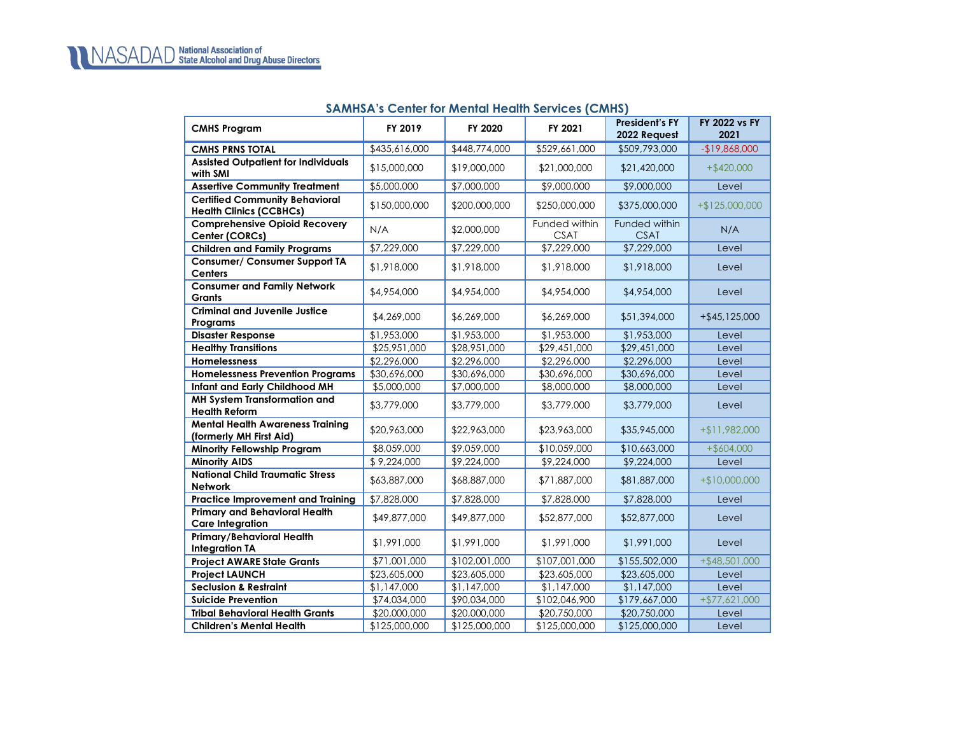#### **SAMHSA's Center for Mental Health Services (CMHS)**

<span id="page-12-0"></span>

| <b>CMHS Program</b>                                                     | FY 2019                  | FY 2020       | FY 2021                      | <b>President's FY</b><br>2022 Request | FY 2022 vs FY<br>2021 |
|-------------------------------------------------------------------------|--------------------------|---------------|------------------------------|---------------------------------------|-----------------------|
| <b>CMHS PRNS TOTAL</b>                                                  | \$435,616,000            | \$448,774,000 | \$529,661,000                | \$509,793,000                         | $-$19,868,000$        |
| <b>Assisted Outpatient for Individuals</b><br>with SMI                  | \$15,000,000             | \$19,000,000  | \$21,000,000                 | \$21,420,000                          | $+$ \$420,000         |
| <b>Assertive Community Treatment</b>                                    | \$5,000,000              | \$7,000,000   | \$9,000,000                  | \$9,000,000                           | Level                 |
| <b>Certified Community Behavioral</b><br><b>Health Clinics (CCBHCs)</b> | \$150,000,000            | \$200,000,000 | \$250,000,000                | \$375,000,000                         | $+ $125,000,000$      |
| <b>Comprehensive Opioid Recovery</b><br>Center (CORCs)                  | N/A                      | \$2,000,000   | Funded within<br><b>CSAT</b> | Funded within<br><b>CSAT</b>          | N/A                   |
| <b>Children and Family Programs</b>                                     | \$7,229,000              | \$7,229,000   | \$7,229,000                  | \$7,229,000                           | Level                 |
| <b>Consumer/ Consumer Support TA</b><br><b>Centers</b>                  | \$1,918,000              | \$1,918,000   | \$1,918,000                  | \$1,918,000                           | Level                 |
| <b>Consumer and Family Network</b><br><b>Grants</b>                     | \$4,954,000              | \$4,954,000   | \$4,954,000                  | \$4,954,000                           | Level                 |
| <b>Criminal and Juvenile Justice</b><br>Programs                        | \$4,269,000              | \$6,269,000   | \$6,269,000                  | \$51,394,000                          | $+ $45,125,000$       |
| <b>Disaster Response</b>                                                | \$1,953,000              | \$1,953,000   | \$1,953,000                  | \$1,953,000                           | Level                 |
| <b>Healthy Transitions</b>                                              | $\overline{$25,951,000}$ | \$28,951,000  | \$29,451,000                 | \$29,451,000                          | Level                 |
| <b>Homelessness</b>                                                     | \$2,296,000              | \$2,296,000   | \$2,296,000                  | \$2,296,000                           | Level                 |
| <b>Homelessness Prevention Programs</b>                                 | \$30,696,000             | \$30,696,000  | \$30,696,000                 | \$30,696,000                          | Level                 |
| Infant and Early Childhood MH                                           | \$5,000,000              | \$7,000,000   | \$8,000,000                  | \$8,000,000                           | Level                 |
| MH System Transformation and<br><b>Health Reform</b>                    | \$3,779,000              | \$3,779,000   | \$3,779,000                  | \$3,779,000                           | Level                 |
| <b>Mental Health Awareness Training</b><br>(formerly MH First Aid)      | \$20,963,000             | \$22,963,000  | \$23,963,000                 | \$35,945,000                          | +\$11,982,000         |
| <b>Minority Fellowship Program</b>                                      | \$8,059,000              | \$9,059,000   | \$10,059,000                 | \$10,663,000                          | $+$ \$604,000         |
| <b>Minority AIDS</b>                                                    | \$9,224,000              | \$9,224,000   | \$9,224,000                  | \$9,224,000                           | Level                 |
| <b>National Child Traumatic Stress</b><br><b>Network</b>                | \$63,887,000             | \$68,887,000  | \$71,887,000                 | \$81,887,000                          | $+$10,000,000$        |
| <b>Practice Improvement and Training</b>                                | \$7,828,000              | \$7,828,000   | \$7,828,000                  | \$7,828,000                           | Level                 |
| <b>Primary and Behavioral Health</b><br><b>Care Integration</b>         | \$49,877,000             | \$49,877,000  | \$52,877,000                 | \$52,877,000                          | Level                 |
| Primary/Behavioral Health<br><b>Integration TA</b>                      | \$1,991,000              | \$1,991,000   | \$1,991,000                  | \$1,991,000                           | Level                 |
| <b>Project AWARE State Grants</b>                                       | \$71,001,000             | \$102,001,000 | \$107,001,000                | \$155,502,000                         | $+$ \$48,501,000      |
| <b>Project LAUNCH</b>                                                   | \$23,605,000             | \$23,605,000  | \$23,605,000                 | \$23,605,000                          | Level                 |
| <b>Seclusion &amp; Restraint</b>                                        | \$1,147,000              | \$1,147,000   | \$1,147,000                  | \$1,147,000                           | Level                 |
| <b>Suicide Prevention</b>                                               | \$74,034,000             | \$90,034,000  | \$102,046,900                | \$179,667,000                         | $+ $77,621,000$       |
| <b>Tribal Behavioral Health Grants</b>                                  | \$20,000,000             | \$20,000,000  | \$20,750,000                 | \$20,750,000                          | Level                 |
| <b>Children's Mental Health</b>                                         | \$125,000,000            | \$125,000,000 | \$125,000,000                | \$125,000,000                         | Level                 |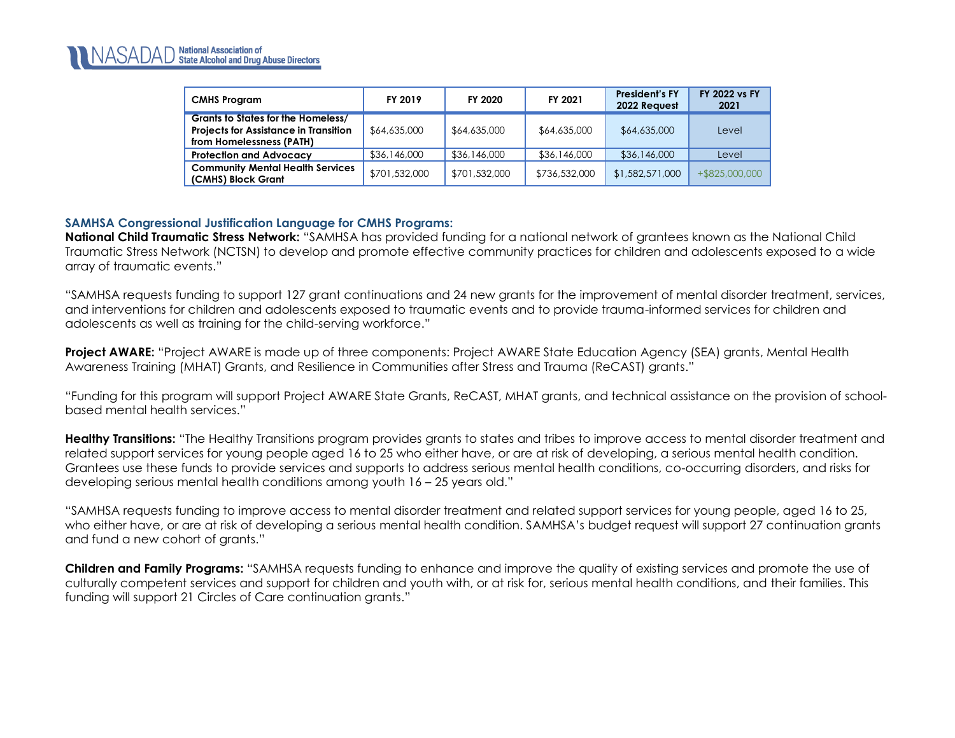| <b>CMHS Program</b>                                                                                            | FY 2019       | FY 2020       | FY 2021       | <b>President's FY</b><br>2022 Request | <b>FY 2022 vs FY</b><br>2021 |
|----------------------------------------------------------------------------------------------------------------|---------------|---------------|---------------|---------------------------------------|------------------------------|
| Grants to States for the Homeless/<br><b>Projects for Assistance in Transition</b><br>from Homelessness (PATH) | \$64,635,000  | \$64,635,000  | \$64,635,000  | \$64,635,000                          | Level                        |
| <b>Protection and Advocacy</b>                                                                                 | \$36,146,000  | \$36,146,000  | \$36,146,000  | \$36,146,000                          | Level                        |
| <b>Community Mental Health Services</b><br>(CMHS) Block Grant                                                  | \$701,532,000 | \$701,532,000 | \$736,532,000 | \$1,582,571,000                       | +\$825,000,000               |

## **SAMHSA Congressional Justification Language for CMHS Programs:**

**National Child Traumatic Stress Network:** "SAMHSA has provided funding for a national network of grantees known as the National Child Traumatic Stress Network (NCTSN) to develop and promote effective community practices for children and adolescents exposed to a wide array of traumatic events."

"SAMHSA requests funding to support 127 grant continuations and 24 new grants for the improvement of mental disorder treatment, services, and interventions for children and adolescents exposed to traumatic events and to provide trauma-informed services for children and adolescents as well as training for the child-serving workforce."

**Project AWARE:** "Project AWARE is made up of three components: Project AWARE State Education Agency (SEA) grants, Mental Health Awareness Training (MHAT) Grants, and Resilience in Communities after Stress and Trauma (ReCAST) grants."

"Funding for this program will support Project AWARE State Grants, ReCAST, MHAT grants, and technical assistance on the provision of schoolbased mental health services."

**Healthy Transitions:** "The Healthy Transitions program provides grants to states and tribes to improve access to mental disorder treatment and related support services for young people aged 16 to 25 who either have, or are at risk of developing, a serious mental health condition. Grantees use these funds to provide services and supports to address serious mental health conditions, co-occurring disorders, and risks for developing serious mental health conditions among youth 16 – 25 years old."

"SAMHSA requests funding to improve access to mental disorder treatment and related support services for young people, aged 16 to 25, who either have, or are at risk of developing a serious mental health condition. SAMHSA's budget request will support 27 continuation grants and fund a new cohort of grants."

**Children and Family Programs:** "SAMHSA requests funding to enhance and improve the quality of existing services and promote the use of culturally competent services and support for children and youth with, or at risk for, serious mental health conditions, and their families. This funding will support 21 Circles of Care continuation grants."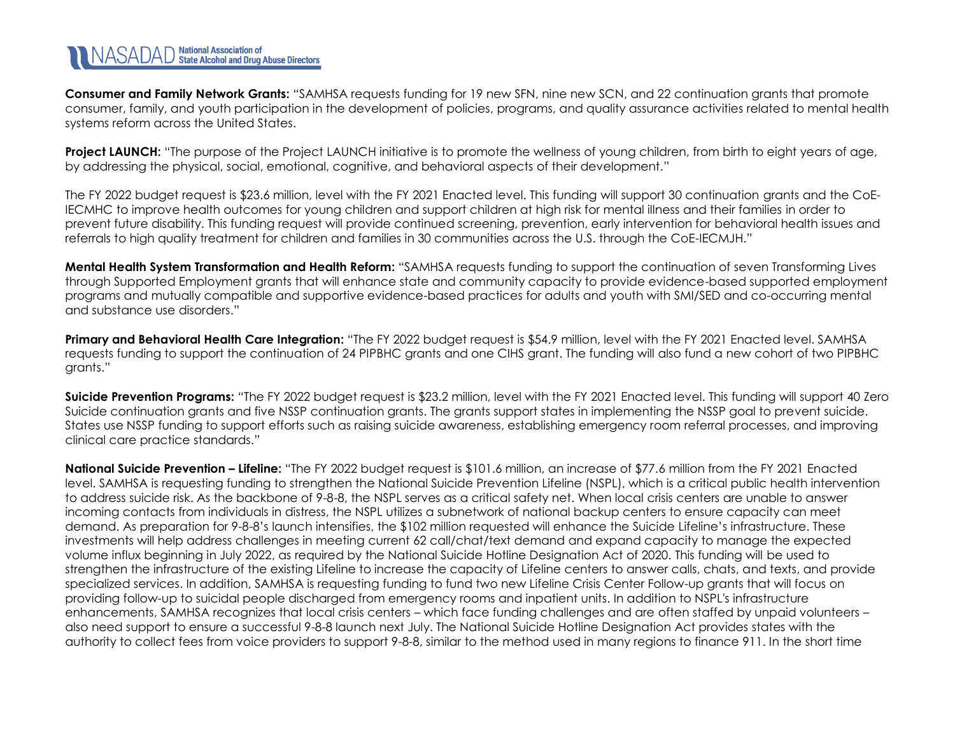**Consumer and Family Network Grants:** "SAMHSA requests funding for 19 new SFN, nine new SCN, and 22 continuation grants that promote consumer, family, and youth participation in the development of policies, programs, and quality assurance activities related to mental health systems reform across the United States.

**Project LAUNCH:** "The purpose of the Project LAUNCH initiative is to promote the wellness of young children, from birth to eight years of age, by addressing the physical, social, emotional, cognitive, and behavioral aspects of their development."

The FY 2022 budget request is \$23.6 million, level with the FY 2021 Enacted level. This funding will support 30 continuation grants and the CoE-IECMHC to improve health outcomes for young children and support children at high risk for mental illness and their families in order to prevent future disability. This funding request will provide continued screening, prevention, early intervention for behavioral health issues and referrals to high quality treatment for children and families in 30 communities across the U.S. through the CoE-IECMJH."

**Mental Health System Transformation and Health Reform:** "SAMHSA requests funding to support the continuation of seven Transforming Lives through Supported Employment grants that will enhance state and community capacity to provide evidence-based supported employment programs and mutually compatible and supportive evidence-based practices for adults and youth with SMI/SED and co-occurring mental and substance use disorders."

**Primary and Behavioral Health Care Integration:** "The FY 2022 budget request is \$54.9 million, level with the FY 2021 Enacted level. SAMHSA requests funding to support the continuation of 24 PIPBHC grants and one CIHS grant. The funding will also fund a new cohort of two PIPBHC grants."

**Suicide Prevention Programs:** "The FY 2022 budget request is \$23.2 million, level with the FY 2021 Enacted level. This funding will support 40 Zero Suicide continuation grants and five NSSP continuation grants. The grants support states in implementing the NSSP goal to prevent suicide. States use NSSP funding to support efforts such as raising suicide awareness, establishing emergency room referral processes, and improving clinical care practice standards."

**National Suicide Prevention – Lifeline:** "The FY 2022 budget request is \$101.6 million, an increase of \$77.6 million from the FY 2021 Enacted level. SAMHSA is requesting funding to strengthen the National Suicide Prevention Lifeline (NSPL), which is a critical public health intervention to address suicide risk. As the backbone of 9-8-8, the NSPL serves as a critical safety net. When local crisis centers are unable to answer incoming contacts from individuals in distress, the NSPL utilizes a subnetwork of national backup centers to ensure capacity can meet demand. As preparation for 9-8-8's launch intensifies, the \$102 million requested will enhance the Suicide Lifeline's infrastructure. These investments will help address challenges in meeting current 62 call/chat/text demand and expand capacity to manage the expected volume influx beginning in July 2022, as required by the National Suicide Hotline Designation Act of 2020. This funding will be used to strengthen the infrastructure of the existing Lifeline to increase the capacity of Lifeline centers to answer calls, chats, and texts, and provide specialized services. In addition, SAMHSA is requesting funding to fund two new Lifeline Crisis Center Follow-up grants that will focus on providing follow-up to suicidal people discharged from emergency rooms and inpatient units. In addition to NSPL's infrastructure enhancements, SAMHSA recognizes that local crisis centers – which face funding challenges and are often staffed by unpaid volunteers – also need support to ensure a successful 9-8-8 launch next July. The National Suicide Hotline Designation Act provides states with the authority to collect fees from voice providers to support 9-8-8, similar to the method used in many regions to finance 911. In the short time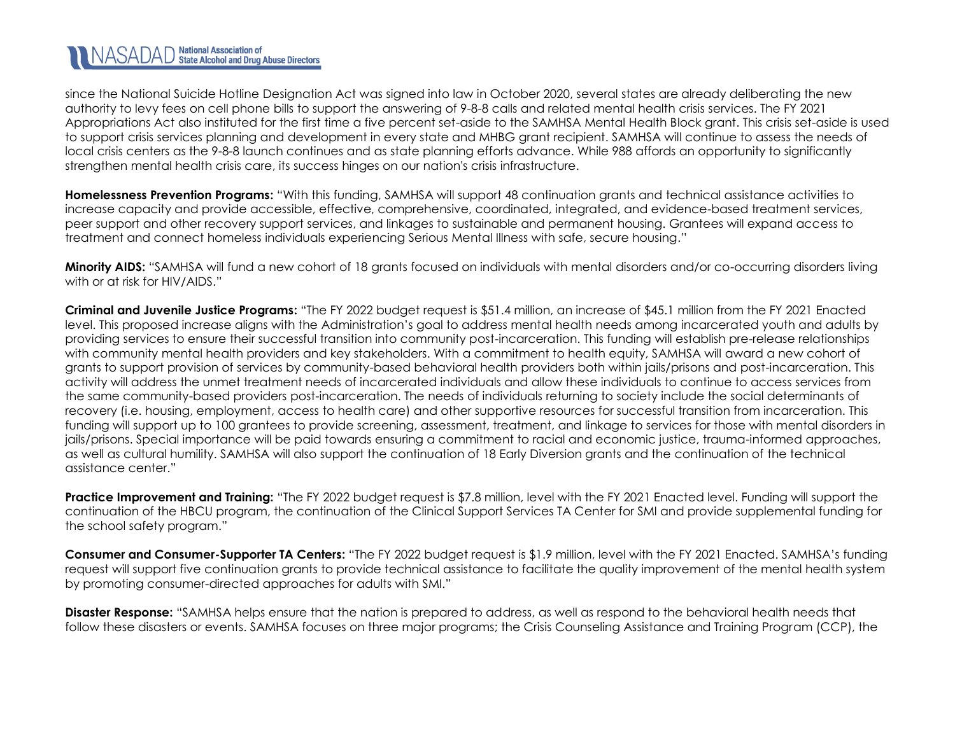# NASADAD National Association of<br>NASADAD State Alcohol and Drug Abuse Directors

since the National Suicide Hotline Designation Act was signed into law in October 2020, several states are already deliberating the new authority to levy fees on cell phone bills to support the answering of 9-8-8 calls and related mental health crisis services. The FY 2021 Appropriations Act also instituted for the first time a five percent set-aside to the SAMHSA Mental Health Block grant. This crisis set-aside is used to support crisis services planning and development in every state and MHBG grant recipient. SAMHSA will continue to assess the needs of local crisis centers as the 9-8-8 launch continues and as state planning efforts advance. While 988 affords an opportunity to significantly strengthen mental health crisis care, its success hinges on our nation's crisis infrastructure.

**Homelessness Prevention Programs:** "With this funding, SAMHSA will support 48 continuation grants and technical assistance activities to increase capacity and provide accessible, effective, comprehensive, coordinated, integrated, and evidence-based treatment services, peer support and other recovery support services, and linkages to sustainable and permanent housing. Grantees will expand access to treatment and connect homeless individuals experiencing Serious Mental Illness with safe, secure housing."

**Minority AIDS:** "SAMHSA will fund a new cohort of 18 grants focused on individuals with mental disorders and/or co-occurring disorders living with or at risk for HIV/AIDS."

**Criminal and Juvenile Justice Programs:** "The FY 2022 budget request is \$51.4 million, an increase of \$45.1 million from the FY 2021 Enacted level. This proposed increase aligns with the Administration's goal to address mental health needs among incarcerated youth and adults by providing services to ensure their successful transition into community post-incarceration. This funding will establish pre-release relationships with community mental health providers and key stakeholders. With a commitment to health equity, SAMHSA will award a new cohort of grants to support provision of services by community-based behavioral health providers both within jails/prisons and post-incarceration. This activity will address the unmet treatment needs of incarcerated individuals and allow these individuals to continue to access services from the same community-based providers post-incarceration. The needs of individuals returning to society include the social determinants of recovery (i.e. housing, employment, access to health care) and other supportive resources for successful transition from incarceration. This funding will support up to 100 grantees to provide screening, assessment, treatment, and linkage to services for those with mental disorders in jails/prisons. Special importance will be paid towards ensuring a commitment to racial and economic justice, trauma-informed approaches, as well as cultural humility. SAMHSA will also support the continuation of 18 Early Diversion grants and the continuation of the technical assistance center."

**Practice Improvement and Training:** "The FY 2022 budget request is \$7.8 million, level with the FY 2021 Enacted level. Funding will support the continuation of the HBCU program, the continuation of the Clinical Support Services TA Center for SMI and provide supplemental funding for the school safety program."

**Consumer and Consumer-Supporter TA Centers:** "The FY 2022 budget request is \$1.9 million, level with the FY 2021 Enacted. SAMHSA's funding request will support five continuation grants to provide technical assistance to facilitate the quality improvement of the mental health system by promoting consumer-directed approaches for adults with SMI."

**Disaster Response:** "SAMHSA helps ensure that the nation is prepared to address, as well as respond to the behavioral health needs that follow these disasters or events. SAMHSA focuses on three major programs; the Crisis Counseling Assistance and Training Program (CCP), the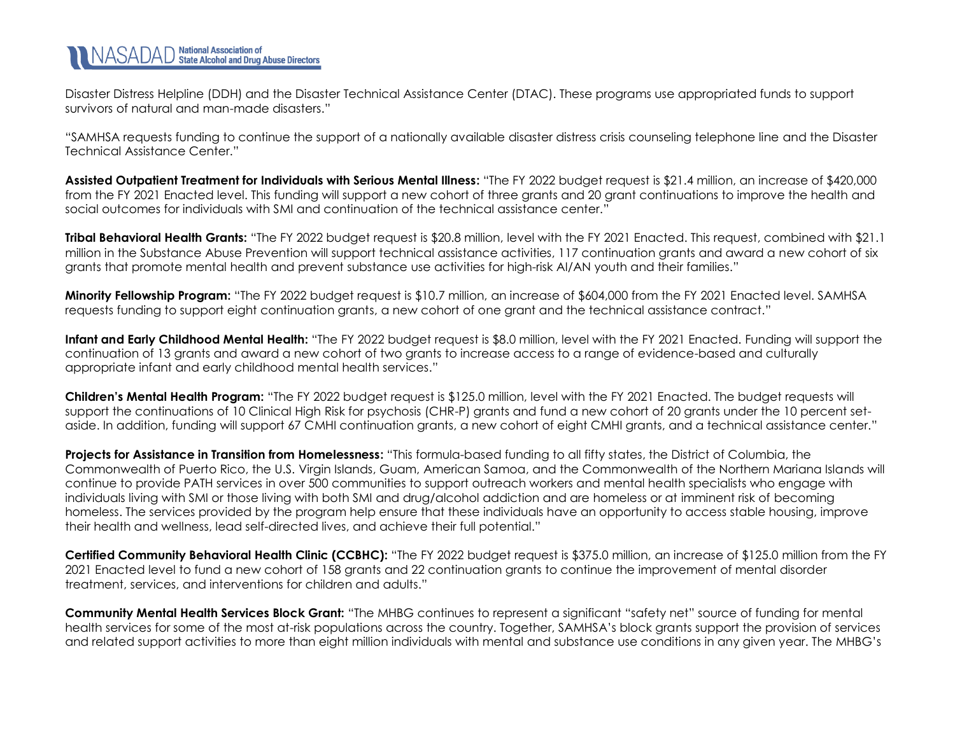Disaster Distress Helpline (DDH) and the Disaster Technical Assistance Center (DTAC). These programs use appropriated funds to support survivors of natural and man-made disasters."

"SAMHSA requests funding to continue the support of a nationally available disaster distress crisis counseling telephone line and the Disaster Technical Assistance Center."

**Assisted Outpatient Treatment for Individuals with Serious Mental Illness:** "The FY 2022 budget request is \$21.4 million, an increase of \$420,000 from the FY 2021 Enacted level. This funding will support a new cohort of three grants and 20 grant continuations to improve the health and social outcomes for individuals with SMI and continuation of the technical assistance center."

**Tribal Behavioral Health Grants:** "The FY 2022 budget request is \$20.8 million, level with the FY 2021 Enacted. This request, combined with \$21.1 million in the Substance Abuse Prevention will support technical assistance activities, 117 continuation grants and award a new cohort of six grants that promote mental health and prevent substance use activities for high-risk AI/AN youth and their families."

**Minority Fellowship Program:** "The FY 2022 budget request is \$10.7 million, an increase of \$604,000 from the FY 2021 Enacted level. SAMHSA requests funding to support eight continuation grants, a new cohort of one grant and the technical assistance contract."

**Infant and Early Childhood Mental Health:** "The FY 2022 budget request is \$8.0 million, level with the FY 2021 Enacted. Funding will support the continuation of 13 grants and award a new cohort of two grants to increase access to a range of evidence-based and culturally appropriate infant and early childhood mental health services."

**Children's Mental Health Program:** "The FY 2022 budget request is \$125.0 million, level with the FY 2021 Enacted. The budget requests will support the continuations of 10 Clinical High Risk for psychosis (CHR-P) grants and fund a new cohort of 20 grants under the 10 percent setaside. In addition, funding will support 67 CMHI continuation grants, a new cohort of eight CMHI grants, and a technical assistance center."

**Projects for Assistance in Transition from Homelessness:** "This formula-based funding to all fifty states, the District of Columbia, the Commonwealth of Puerto Rico, the U.S. Virgin Islands, Guam, American Samoa, and the Commonwealth of the Northern Mariana Islands will continue to provide PATH services in over 500 communities to support outreach workers and mental health specialists who engage with individuals living with SMI or those living with both SMI and drug/alcohol addiction and are homeless or at imminent risk of becoming homeless. The services provided by the program help ensure that these individuals have an opportunity to access stable housing, improve their health and wellness, lead self-directed lives, and achieve their full potential."

**Certified Community Behavioral Health Clinic (CCBHC):** "The FY 2022 budget request is \$375.0 million, an increase of \$125.0 million from the FY 2021 Enacted level to fund a new cohort of 158 grants and 22 continuation grants to continue the improvement of mental disorder treatment, services, and interventions for children and adults."

**Community Mental Health Services Block Grant:** "The MHBG continues to represent a significant "safety net" source of funding for mental health services for some of the most at-risk populations across the country. Together, SAMHSA's block grants support the provision of services and related support activities to more than eight million individuals with mental and substance use conditions in any given year. The MHBG's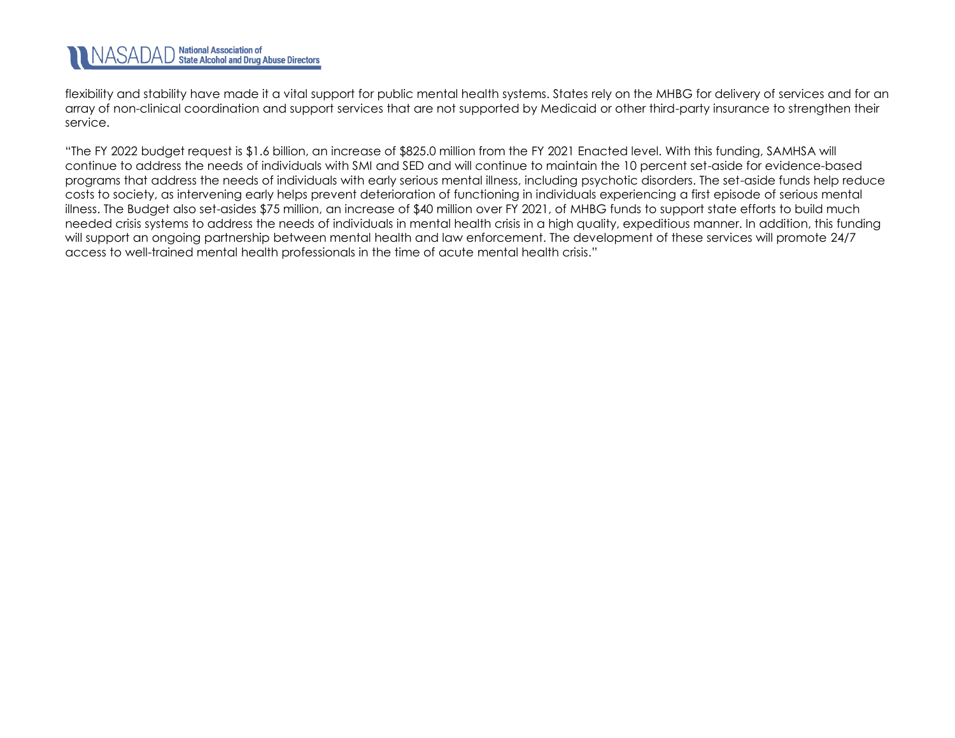flexibility and stability have made it a vital support for public mental health systems. States rely on the MHBG for delivery of services and for an array of non-clinical coordination and support services that are not supported by Medicaid or other third-party insurance to strengthen their service.

"The FY 2022 budget request is \$1.6 billion, an increase of \$825.0 million from the FY 2021 Enacted level. With this funding, SAMHSA will continue to address the needs of individuals with SMI and SED and will continue to maintain the 10 percent set-aside for evidence-based programs that address the needs of individuals with early serious mental illness, including psychotic disorders. The set-aside funds help reduce costs to society, as intervening early helps prevent deterioration of functioning in individuals experiencing a first episode of serious mental illness. The Budget also set-asides \$75 million, an increase of \$40 million over FY 2021, of MHBG funds to support state efforts to build much needed crisis systems to address the needs of individuals in mental health crisis in a high quality, expeditious manner. In addition, this funding will support an ongoing partnership between mental health and law enforcement. The development of these services will promote 24/7 access to well-trained mental health professionals in the time of acute mental health crisis."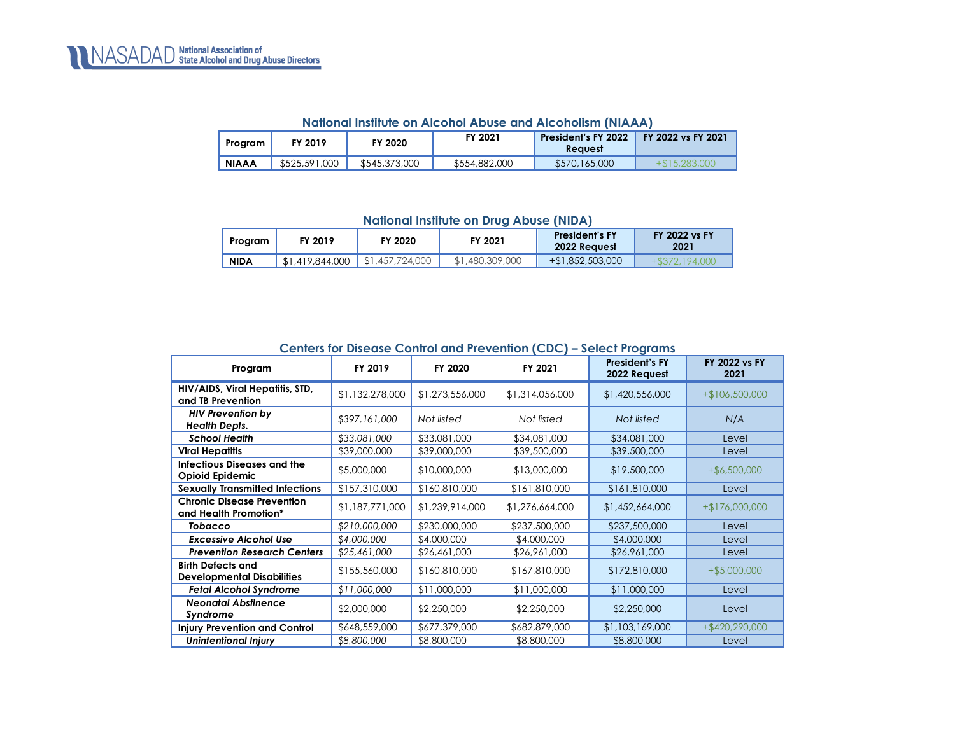<span id="page-18-0"></span>

| Program      | FY 2019       | FY 2020       | FY 2021       | President's FY 2022<br><b>Reavest</b> | FY 2022 vs FY 2021 |
|--------------|---------------|---------------|---------------|---------------------------------------|--------------------|
| <b>NIAAA</b> | \$525,591,000 | \$545,373,000 | \$554,882,000 | \$570,165,000                         | $+\$15.283.000$    |

#### **National Institute on Alcohol Abuse and Alcoholism (NIAAA)**

**National Institute on Drug Abuse (NIDA)**

<span id="page-18-1"></span>

| Program     | FY 2019         | FY 2020         | FY 2021      | <b>President's FY</b><br>2022 Request | <b>FY 2022 vs FY</b><br>2021 |
|-------------|-----------------|-----------------|--------------|---------------------------------------|------------------------------|
| <b>NIDA</b> | \$1,419,844,000 | \$1,457,724,000 | .480.309.000 | +\$1,852,503,000                      | 194 (                        |

<span id="page-18-2"></span>

| <u> Ceniers for bisease Comitor and Trevenhold (CDC) – select Frograms</u> |                 |                 |                 |                                       |                              |  |  |
|----------------------------------------------------------------------------|-----------------|-----------------|-----------------|---------------------------------------|------------------------------|--|--|
| Program                                                                    | FY 2019         | FY 2020         | FY 2021         | <b>President's FY</b><br>2022 Request | <b>FY 2022 vs FY</b><br>2021 |  |  |
| HIV/AIDS, Viral Hepatitis, STD,<br>and TB Prevention                       | \$1,132,278,000 | \$1,273,556,000 | \$1,314,056,000 | \$1,420,556,000                       | $+$106,500,000$              |  |  |
| <b>HIV Prevention by</b><br><b>Health Depts.</b>                           | \$397,161,000   | Not listed      | Not listed      | Not listed                            | N/A                          |  |  |
| <b>School Health</b>                                                       | \$33,081,000    | \$33,081,000    | \$34,081,000    | \$34,081,000                          | Level                        |  |  |
| <b>Viral Hepatitis</b>                                                     | \$39,000,000    | \$39,000,000    | \$39,500,000    | \$39,500,000                          | Level                        |  |  |
| <b>Infectious Diseases and the</b><br><b>Opioid Epidemic</b>               | \$5,000,000     | \$10,000,000    | \$13,000,000    | \$19,500,000                          | $+$ \$6,500,000              |  |  |
| <b>Sexually Transmitted Infections</b>                                     | \$157,310,000   | \$160,810,000   | \$161,810,000   | \$161,810,000                         | Level                        |  |  |
| <b>Chronic Disease Prevention</b><br>and Health Promotion*                 | \$1,187,771,000 | \$1,239,914,000 | \$1,276,664,000 | \$1,452,664,000                       | $+ $176,000,000$             |  |  |
| Tobacco                                                                    | \$210,000,000   | \$230,000,000   | \$237,500,000   | \$237,500,000                         | Level                        |  |  |
| <b>Excessive Alcohol Use</b>                                               | \$4,000,000     | \$4,000,000     | \$4,000,000     | \$4,000,000                           | Level                        |  |  |
| <b>Prevention Research Centers</b>                                         | \$25,461,000    | \$26,461,000    | \$26,961,000    | \$26,961,000                          | Level                        |  |  |
| <b>Birth Defects and</b><br><b>Developmental Disabilities</b>              | \$155,560,000   | \$160,810,000   | \$167,810,000   | \$172,810,000                         | $+$ \$5,000,000              |  |  |
| <b>Fetal Alcohol Syndrome</b>                                              | \$11,000,000    | \$11,000,000    | \$11,000,000    | \$11,000,000                          | Level                        |  |  |
| <b>Neonatal Abstinence</b><br>Syndrome                                     | \$2,000,000     | \$2,250,000     | \$2,250,000     | \$2,250,000                           | Level                        |  |  |
| <b>Injury Prevention and Control</b>                                       | \$648,559,000   | \$677,379,000   | \$682,879,000   | \$1,103,169,000                       | $+$ \$420,290,000            |  |  |
| <b>Unintentional Injury</b>                                                | \$8,800,000     | \$8,800,000     | \$8,800,000     | \$8,800,000                           | Level                        |  |  |

### **Centers for Disease Control and Prevention (CDC) – Select Programs**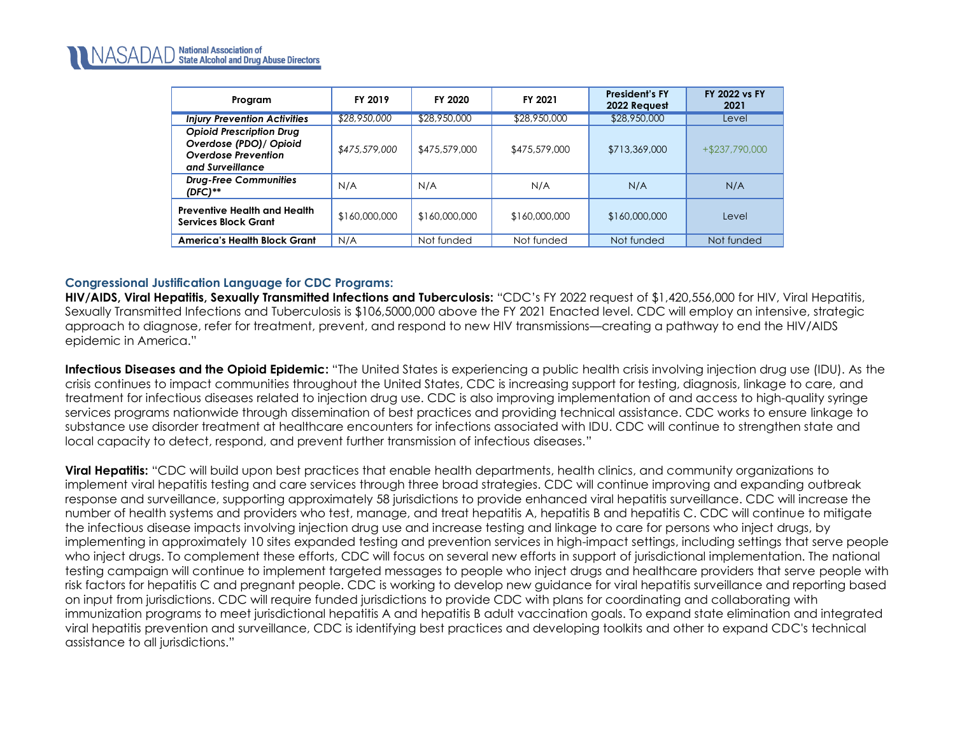| Program                                                                                                      | <b>FY 2019</b> | <b>FY 2020</b> | FY 2021       | <b>President's FY</b><br>2022 Request | <b>FY 2022 vs FY</b><br>2021 |
|--------------------------------------------------------------------------------------------------------------|----------------|----------------|---------------|---------------------------------------|------------------------------|
| <b>Injury Prevention Activities</b>                                                                          | \$28,950,000   | \$28,950,000   | \$28,950,000  | \$28,950,000                          | Level                        |
| <b>Opioid Prescription Drug</b><br>Overdose (PDO) / Opioid<br><b>Overdose Prevention</b><br>and Surveillance | \$475,579,000  | \$475,579,000  | \$475,579,000 | \$713,369,000                         | $+$ \$237,790,000            |
| <b>Drug-Free Communities</b><br>$(DFC)$ **                                                                   | N/A            | N/A            | N/A           | N/A                                   | N/A                          |
| <b>Preventive Health and Health</b><br><b>Services Block Grant</b>                                           | \$160,000,000  | \$160,000,000  | \$160,000,000 | \$160,000,000                         | Level                        |
| America's Health Block Grant                                                                                 | N/A            | Not funded     | Not funded    | Not funded                            | Not funded                   |

### **Congressional Justification Language for CDC Programs:**

**HIV/AIDS, Viral Hepatitis, Sexually Transmitted Infections and Tuberculosis:** "CDC's FY 2022 request of \$1,420,556,000 for HIV, Viral Hepatitis, Sexually Transmitted Infections and Tuberculosis is \$106,5000,000 above the FY 2021 Enacted level. CDC will employ an intensive, strategic approach to diagnose, refer for treatment, prevent, and respond to new HIV transmissions—creating a pathway to end the HIV/AIDS epidemic in America."

**Infectious Diseases and the Opioid Epidemic:** "The United States is experiencing a public health crisis involving injection drug use (IDU). As the crisis continues to impact communities throughout the United States, CDC is increasing support for testing, diagnosis, linkage to care, and treatment for infectious diseases related to injection drug use. CDC is also improving implementation of and access to high-quality syringe services programs nationwide through dissemination of best practices and providing technical assistance. CDC works to ensure linkage to substance use disorder treatment at healthcare encounters for infections associated with IDU. CDC will continue to strengthen state and local capacity to detect, respond, and prevent further transmission of infectious diseases."

**Viral Hepatitis:** "CDC will build upon best practices that enable health departments, health clinics, and community organizations to implement viral hepatitis testing and care services through three broad strategies. CDC will continue improving and expanding outbreak response and surveillance, supporting approximately 58 jurisdictions to provide enhanced viral hepatitis surveillance. CDC will increase the number of health systems and providers who test, manage, and treat hepatitis A, hepatitis B and hepatitis C. CDC will continue to mitigate the infectious disease impacts involving injection drug use and increase testing and linkage to care for persons who inject drugs, by implementing in approximately 10 sites expanded testing and prevention services in high-impact settings, including settings that serve people who inject drugs. To complement these efforts, CDC will focus on several new efforts in support of jurisdictional implementation. The national testing campaign will continue to implement targeted messages to people who inject drugs and healthcare providers that serve people with risk factors for hepatitis C and pregnant people. CDC is working to develop new guidance for viral hepatitis surveillance and reporting based on input from jurisdictions. CDC will require funded jurisdictions to provide CDC with plans for coordinating and collaborating with immunization programs to meet jurisdictional hepatitis A and hepatitis B adult vaccination goals. To expand state elimination and integrated viral hepatitis prevention and surveillance, CDC is identifying best practices and developing toolkits and other to expand CDC's technical assistance to all jurisdictions."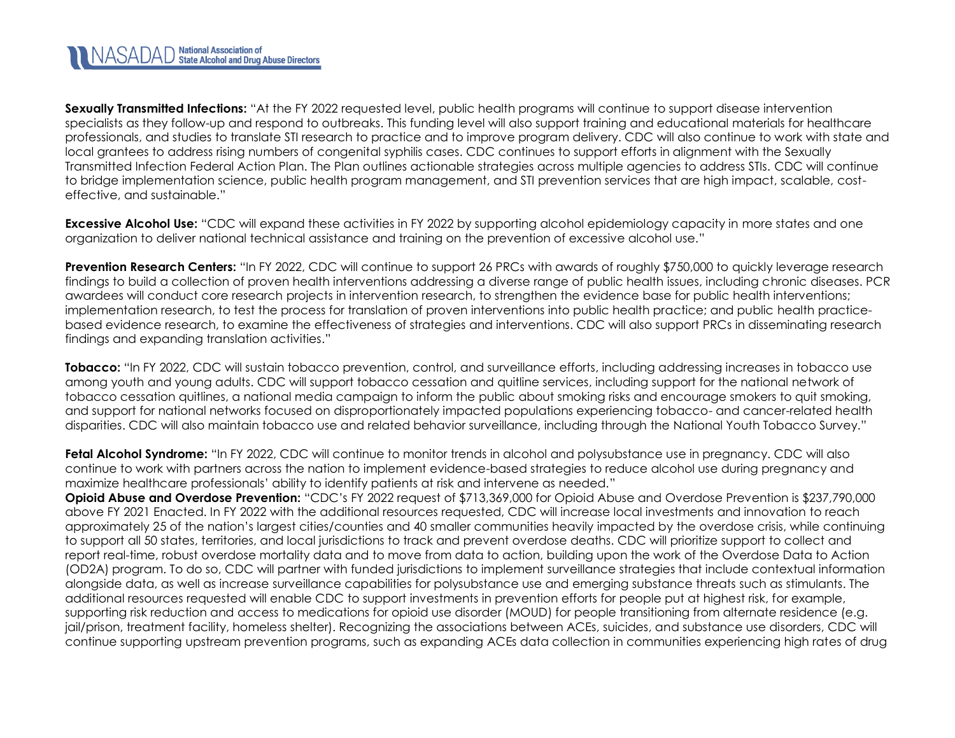

**Sexually Transmitted Infections:** "At the FY 2022 requested level, public health programs will continue to support disease intervention specialists as they follow-up and respond to outbreaks. This funding level will also support training and educational materials for healthcare professionals, and studies to translate STI research to practice and to improve program delivery. CDC will also continue to work with state and local grantees to address rising numbers of congenital syphilis cases. CDC continues to support efforts in alignment with the Sexually Transmitted Infection Federal Action Plan. The Plan outlines actionable strategies across multiple agencies to address STIs. CDC will continue to bridge implementation science, public health program management, and STI prevention services that are high impact, scalable, costeffective, and sustainable."

**Excessive Alcohol Use:** "CDC will expand these activities in FY 2022 by supporting alcohol epidemiology capacity in more states and one organization to deliver national technical assistance and training on the prevention of excessive alcohol use."

**Prevention Research Centers:** "In FY 2022, CDC will continue to support 26 PRCs with awards of roughly \$750,000 to quickly leverage research findings to build a collection of proven health interventions addressing a diverse range of public health issues, including chronic diseases. PCR awardees will conduct core research projects in intervention research, to strengthen the evidence base for public health interventions; implementation research, to test the process for translation of proven interventions into public health practice; and public health practicebased evidence research, to examine the effectiveness of strategies and interventions. CDC will also support PRCs in disseminating research findings and expanding translation activities."

**Tobacco:** "In FY 2022, CDC will sustain tobacco prevention, control, and surveillance efforts, including addressing increases in tobacco use among youth and young adults. CDC will support tobacco cessation and quitline services, including support for the national network of tobacco cessation quitlines, a national media campaign to inform the public about smoking risks and encourage smokers to quit smoking, and support for national networks focused on disproportionately impacted populations experiencing tobacco- and cancer-related health disparities. CDC will also maintain tobacco use and related behavior surveillance, including through the National Youth Tobacco Survey."

**Fetal Alcohol Syndrome:** "In FY 2022, CDC will continue to monitor trends in alcohol and polysubstance use in pregnancy. CDC will also continue to work with partners across the nation to implement evidence-based strategies to reduce alcohol use during pregnancy and maximize healthcare professionals' ability to identify patients at risk and intervene as needed."

**Opioid Abuse and Overdose Prevention:** "CDC's FY 2022 request of \$713,369,000 for Opioid Abuse and Overdose Prevention is \$237,790,000 above FY 2021 Enacted. In FY 2022 with the additional resources requested, CDC will increase local investments and innovation to reach approximately 25 of the nation's largest cities/counties and 40 smaller communities heavily impacted by the overdose crisis, while continuing to support all 50 states, territories, and local jurisdictions to track and prevent overdose deaths. CDC will prioritize support to collect and report real-time, robust overdose mortality data and to move from data to action, building upon the work of the Overdose Data to Action (OD2A) program. To do so, CDC will partner with funded jurisdictions to implement surveillance strategies that include contextual information alongside data, as well as increase surveillance capabilities for polysubstance use and emerging substance threats such as stimulants. The additional resources requested will enable CDC to support investments in prevention efforts for people put at highest risk, for example, supporting risk reduction and access to medications for opioid use disorder (MOUD) for people transitioning from alternate residence (e.g. jail/prison, treatment facility, homeless shelter). Recognizing the associations between ACEs, suicides, and substance use disorders, CDC will continue supporting upstream prevention programs, such as expanding ACEs data collection in communities experiencing high rates of drug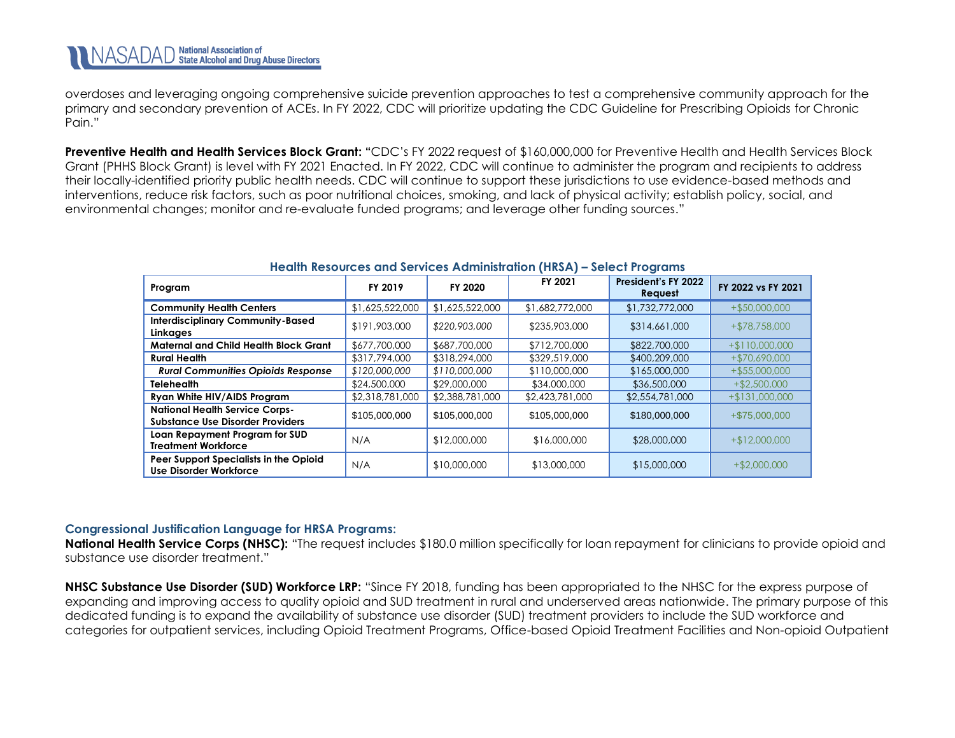overdoses and leveraging ongoing comprehensive suicide prevention approaches to test a comprehensive community approach for the primary and secondary prevention of ACEs. In FY 2022, CDC will prioritize updating the CDC Guideline for Prescribing Opioids for Chronic Pain."

<span id="page-21-0"></span>**Preventive Health and Health Services Block Grant: "**CDC's FY 2022 request of \$160,000,000 for Preventive Health and Health Services Block Grant (PHHS Block Grant) is level with FY 2021 Enacted. In FY 2022, CDC will continue to administer the program and recipients to address their locally-identified priority public health needs. CDC will continue to support these jurisdictions to use evidence-based methods and interventions, reduce risk factors, such as poor nutritional choices, smoking, and lack of physical activity; establish policy, social, and environmental changes; monitor and re-evaluate funded programs; and leverage other funding sources."

| Program                                                                   | FY 2019         | FY 2020         | FY 2021         | President's FY 2022<br>Request | FY 2022 vs FY 2021 |
|---------------------------------------------------------------------------|-----------------|-----------------|-----------------|--------------------------------|--------------------|
| <b>Community Health Centers</b>                                           | \$1,625,522,000 | \$1,625,522,000 | \$1,682,772,000 | \$1,732,772,000                | $+$ \$50,000,000   |
| <b>Interdisciplinary Community-Based</b><br>Linkages                      | \$191,903,000   | \$220,903,000   | \$235,903,000   | \$314,661,000                  | +\$78,758,000      |
| <b>Maternal and Child Health Block Grant</b>                              | \$677,700,000   | \$687,700,000   | \$712,700,000   | \$822,700,000                  | $+ $110,000,000$   |
| <b>Rural Health</b>                                                       | \$317,794,000   | \$318,294,000   | \$329,519,000   | \$400,209,000                  | $+ $70,690,000$    |
| <b>Rural Communities Opioids Response</b>                                 | \$120,000,000   | \$110,000,000   | \$110,000,000   | \$165,000,000                  | $+ $55,000,000$    |
| <b>Telehealth</b>                                                         | \$24,500,000    | \$29,000,000    | \$34,000,000    | \$36,500,000                   | $+ $2,500,000$     |
| Ryan White HIV/AIDS Program                                               | \$2,318,781,000 | \$2,388,781,000 | \$2,423,781,000 | \$2,554,781,000                | $+ $131,000,000$   |
| <b>National Health Service Corps-</b><br>Substance Use Disorder Providers | \$105,000,000   | \$105,000,000   | \$105,000,000   | \$180,000,000                  | +\$75,000,000      |
| Loan Repayment Program for SUD<br><b>Treatment Workforce</b>              | N/A             | \$12,000,000    | \$16,000,000    | \$28,000,000                   | $+ $12,000,000$    |
| Peer Support Specialists in the Opioid<br><b>Use Disorder Workforce</b>   | N/A             | \$10,000,000    | \$13,000,000    | \$15,000,000                   | $+$ \$2,000,000    |

#### **Health Resources and Services Administration (HRSA) – Select Programs**

#### **Congressional Justification Language for HRSA Programs:**

**National Health Service Corps (NHSC):** "The request includes \$180.0 million specifically for loan repayment for clinicians to provide opioid and substance use disorder treatment."

**NHSC Substance Use Disorder (SUD) Workforce LRP:** "Since FY 2018, funding has been appropriated to the NHSC for the express purpose of expanding and improving access to quality opioid and SUD treatment in rural and underserved areas nationwide. The primary purpose of this dedicated funding is to expand the availability of substance use disorder (SUD) treatment providers to include the SUD workforce and categories for outpatient services, including Opioid Treatment Programs, Office-based Opioid Treatment Facilities and Non-opioid Outpatient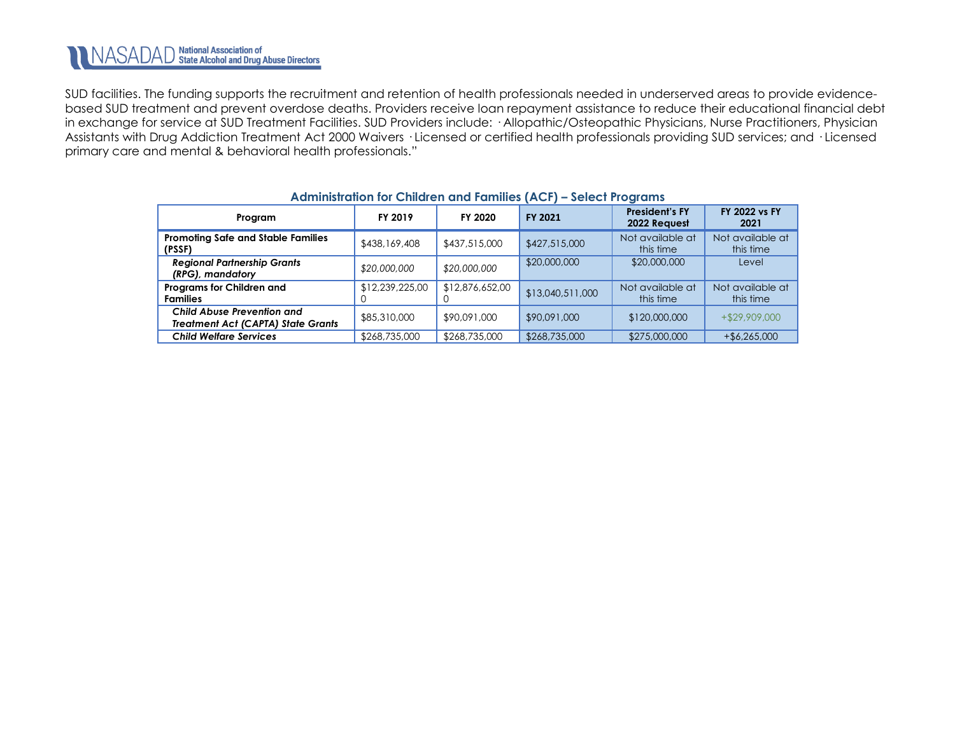SUD facilities. The funding supports the recruitment and retention of health professionals needed in underserved areas to provide evidencebased SUD treatment and prevent overdose deaths. Providers receive loan repayment assistance to reduce their educational financial debt in exchange for service at SUD Treatment Facilities. SUD Providers include: · Allopathic/Osteopathic Physicians, Nurse Practitioners, Physician Assistants with Drug Addiction Treatment Act 2000 Waivers · Licensed or certified health professionals providing SUD services; and · Licensed primary care and mental & behavioral health professionals."

| A Gilling in Gill of Ching is the follows that i<br><b>PERCH LIQUIMING</b>     |                 |                 |                  |                                       |                               |
|--------------------------------------------------------------------------------|-----------------|-----------------|------------------|---------------------------------------|-------------------------------|
| Program                                                                        | FY 2019         | FY 2020         | <b>FY 2021</b>   | <b>President's FY</b><br>2022 Request | <b>FY 2022 vs FY</b><br>2021  |
| <b>Promoting Safe and Stable Families</b><br>(PSSF)                            | \$438,169,408   | \$437,515,000   | \$427,515,000    | Not available at<br>this time         | Not available at<br>this time |
| <b>Regional Partnership Grants</b><br>(RPG), mandatory                         | \$20,000,000    | \$20,000,000    | \$20,000,000     | \$20,000,000                          | Level                         |
| Programs for Children and<br><b>Families</b>                                   | \$12,239,225,00 | \$12,876,652,00 | \$13,040,511,000 | Not available at<br>this time         | Not available at<br>this time |
| <b>Child Abuse Prevention and</b><br><b>Treatment Act (CAPTA) State Grants</b> | \$85,310,000    | \$90,091,000    | \$90,091,000     | \$120,000,000                         | $+ $29,909,000$               |
| <b>Child Welfare Services</b>                                                  | \$268,735,000   | \$268,735,000   | \$268,735,000    | \$275,000,000                         | $+$ \$6,265,000               |

### **Administration for Children and Families (ACF) – Select Programs**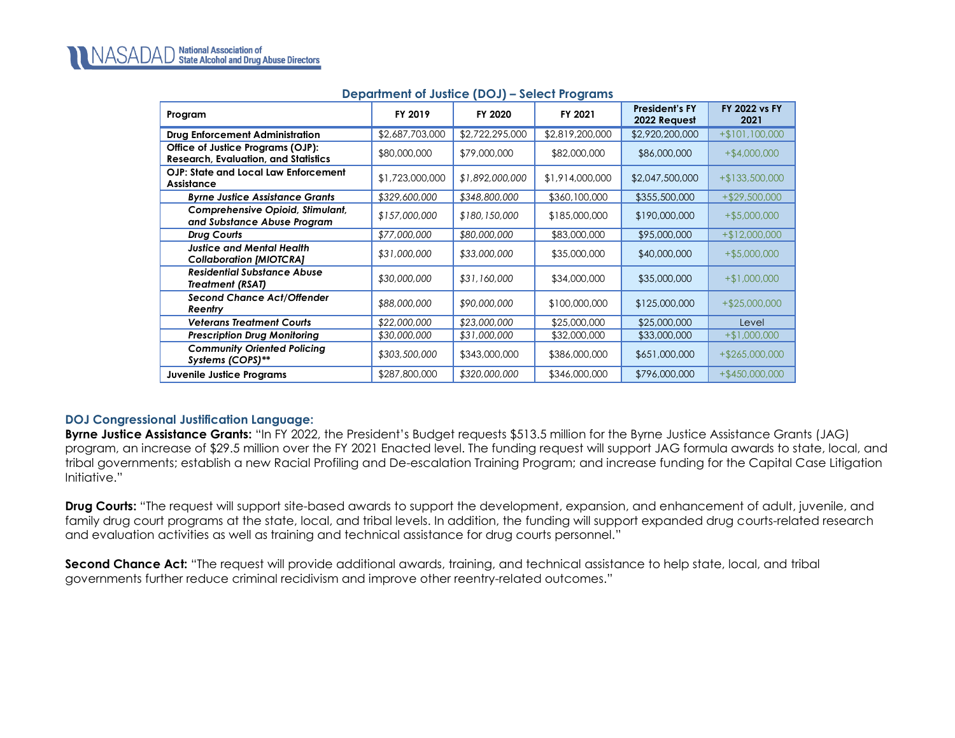<span id="page-23-0"></span>

| Program                                                                          | FY 2019         | FY 2020         | FY 2021         | <b>President's FY</b><br>2022 Request | <b>FY 2022 vs FY</b><br>2021 |
|----------------------------------------------------------------------------------|-----------------|-----------------|-----------------|---------------------------------------|------------------------------|
| <b>Drug Enforcement Administration</b>                                           | \$2,687,703,000 | \$2,722,295,000 | \$2,819,200,000 | \$2,920,200,000                       | $+$101,100,000$              |
| Office of Justice Programs (OJP):<br><b>Research, Evaluation, and Statistics</b> | \$80,000,000    | \$79,000,000    | \$82,000,000    | \$86,000,000                          | $+$ \$4,000,000              |
| OJP: State and Local Law Enforcement<br>Assistance                               | \$1,723,000,000 | \$1,892,000,000 | \$1,914,000,000 | \$2,047,500,000                       | $+$ \$133,500,000            |
| <b>Byrne Justice Assistance Grants</b>                                           | \$329,600,000   | \$348,800,000   | \$360,100,000   | \$355,500,000                         | $+$ \$29,500,000             |
| <b>Comprehensive Opioid, Stimulant,</b><br>and Substance Abuse Program           | \$157,000,000   | \$180,150,000   | \$185,000,000   | \$190,000,000                         | $+$ \$5,000,000              |
| Drug Courts                                                                      | \$77,000,000    | \$80,000,000    | \$83,000,000    | \$95,000,000                          | $+ $12,000,000$              |
| <b>Justice and Mental Health</b><br><b>Collaboration [MIOTCRA]</b>               | \$31,000,000    | \$33,000,000    | \$35,000,000    | \$40,000,000                          | $+$ \$5,000,000              |
| <b>Residential Substance Abuse</b><br><b>Treatment (RSAT)</b>                    | \$30,000,000    | \$31,160,000    | \$34,000,000    | \$35,000,000                          | $+ $1,000,000$               |
| <b>Second Chance Act/Offender</b><br>Reentry                                     | \$88,000,000    | \$90,000,000    | \$100,000,000   | \$125,000,000                         | $+$ \$25,000,000             |
| <b>Veterans Treatment Courts</b>                                                 | \$22,000,000    | \$23,000,000    | \$25,000,000    | \$25,000,000                          | Level                        |
| <b>Prescription Drug Monitoring</b>                                              | \$30,000,000    | \$31,000,000    | \$32,000,000    | \$33,000,000                          | $+$ \$1,000,000              |
| <b>Community Oriented Policing</b><br>Systems (COPS)**                           | \$303,500,000   | \$343,000,000   | \$386,000,000   | \$651,000,000                         | $+ $265,000,000$             |
| <b>Juvenile Justice Programs</b>                                                 | \$287,800,000   | \$320,000,000   | \$346,000,000   | \$796,000,000                         | $+$ \$450,000,000            |

## **Department of Justice (DOJ) – Select Programs**

## **DOJ Congressional Justification Language:**

**Byrne Justice Assistance Grants:** "In FY 2022, the President's Budget requests \$513.5 million for the Byrne Justice Assistance Grants (JAG) program, an increase of \$29.5 million over the FY 2021 Enacted level. The funding request will support JAG formula awards to state, local, and tribal governments; establish a new Racial Profiling and De-escalation Training Program; and increase funding for the Capital Case Litigation Initiative."

**Drug Courts:** "The request will support site-based awards to support the development, expansion, and enhancement of adult, juvenile, and family drug court programs at the state, local, and tribal levels. In addition, the funding will support expanded drug courts-related research and evaluation activities as well as training and technical assistance for drug courts personnel."

**Second Chance Act:** "The request will provide additional awards, training, and technical assistance to help state, local, and tribal governments further reduce criminal recidivism and improve other reentry-related outcomes."